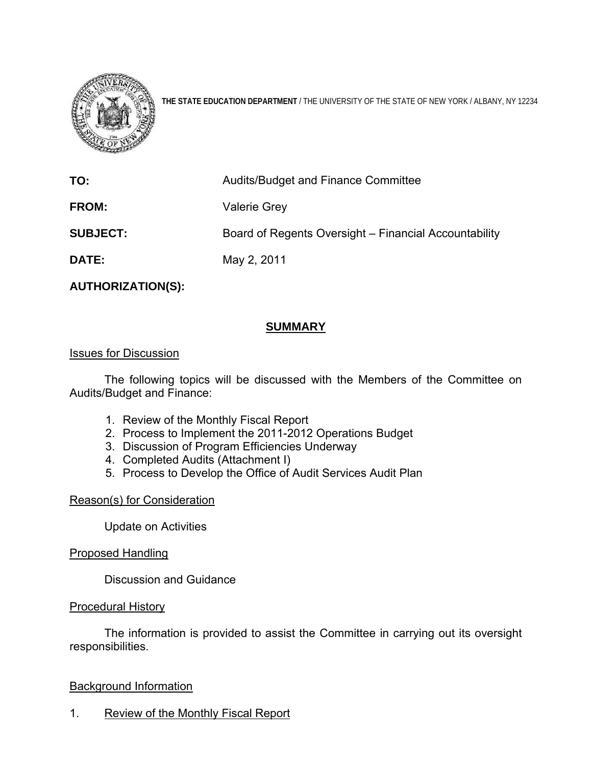

**THE STATE EDUCATION DEPARTMENT** / THE UNIVERSITY OF THE STATE OF NEW YORK / ALBANY, NY 12234

| TO:             | Audits/Budget and Finance Committee                   |
|-----------------|-------------------------------------------------------|
| <b>FROM:</b>    | <b>Valerie Grey</b>                                   |
| <b>SUBJECT:</b> | Board of Regents Oversight – Financial Accountability |
| <b>DATE:</b>    | May 2, 2011                                           |

**AUTHORIZATION(S):** 

# **SUMMARY**

### Issues for Discussion

 The following topics will be discussed with the Members of the Committee on Audits/Budget and Finance:

- 1. Review of the Monthly Fiscal Report
- 2. Process to Implement the 2011-2012 Operations Budget
- 3. Discussion of Program Efficiencies Underway
- 4. Completed Audits (Attachment I)
- 5. Process to Develop the Office of Audit Services Audit Plan

#### Reason(s) for Consideration

Update on Activities

Proposed Handling

Discussion and Guidance

#### Procedural History

The information is provided to assist the Committee in carrying out its oversight responsibilities.

#### Background Information

1. Review of the Monthly Fiscal Report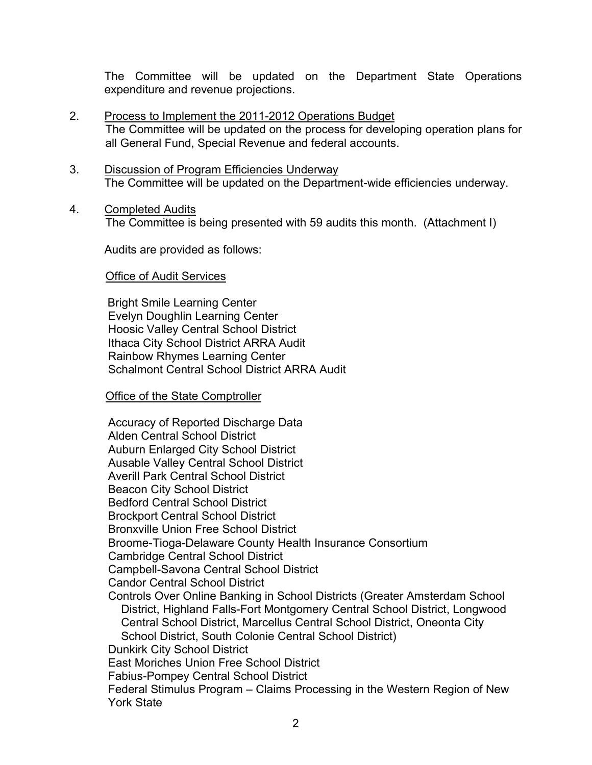The Committee will be updated on the Department State Operations expenditure and revenue projections.

- 2. Process to Implement the 2011-2012 Operations Budget The Committee will be updated on the process for developing operation plans for all General Fund, Special Revenue and federal accounts.
- 3. Discussion of Program Efficiencies Underway The Committee will be updated on the Department-wide efficiencies underway.
- 4. Completed Audits

The Committee is being presented with 59 audits this month. (Attachment I)

Audits are provided as follows:

### Office of Audit Services

 Bright Smile Learning Center Evelyn Doughlin Learning Center Hoosic Valley Central School District Ithaca City School District ARRA Audit Rainbow Rhymes Learning Center Schalmont Central School District ARRA Audit

## Office of the State Comptroller

Accuracy of Reported Discharge Data Alden Central School District Auburn Enlarged City School District Ausable Valley Central School District Averill Park Central School District Beacon City School District Bedford Central School District Brockport Central School District Bronxville Union Free School District Broome-Tioga-Delaware County Health Insurance Consortium Cambridge Central School District Campbell-Savona Central School District Candor Central School District Controls Over Online Banking in School Districts (Greater Amsterdam School District, Highland Falls-Fort Montgomery Central School District, Longwood Central School District, Marcellus Central School District, Oneonta City School District, South Colonie Central School District) Dunkirk City School District East Moriches Union Free School District Fabius-Pompey Central School District Federal Stimulus Program – Claims Processing in the Western Region of New York State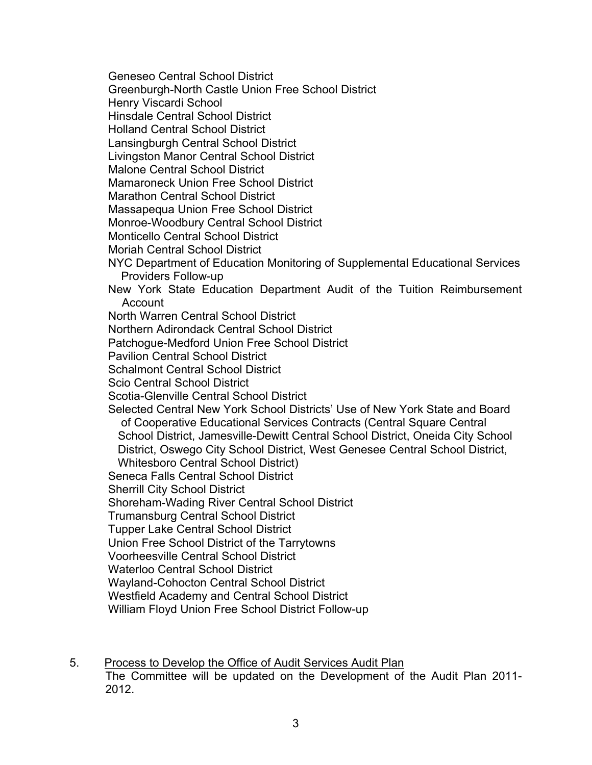Geneseo Central School District

Greenburgh-North Castle Union Free School District

Henry Viscardi School

Hinsdale Central School District

Holland Central School District

Lansingburgh Central School District

Livingston Manor Central School District

Malone Central School District

Mamaroneck Union Free School District

Marathon Central School District

Massapequa Union Free School District

Monroe-Woodbury Central School District

Monticello Central School District

Moriah Central School District

- NYC Department of Education Monitoring of Supplemental Educational Services Providers Follow-up
- New York State Education Department Audit of the Tuition Reimbursement Account
- North Warren Central School District

Northern Adirondack Central School District

Patchogue-Medford Union Free School District

Pavilion Central School District

Schalmont Central School District

Scio Central School District

Scotia-Glenville Central School District

Selected Central New York School Districts' Use of New York State and Board of Cooperative Educational Services Contracts (Central Square Central School District, Jamesville-Dewitt Central School District, Oneida City School District, Oswego City School District, West Genesee Central School District, Whitesboro Central School District)

Seneca Falls Central School District

Sherrill City School District

Shoreham-Wading River Central School District

Trumansburg Central School District

Tupper Lake Central School District

Union Free School District of the Tarrytowns

Voorheesville Central School District

Waterloo Central School District

Wayland-Cohocton Central School District

Westfield Academy and Central School District

William Floyd Union Free School District Follow-up

5. Process to Develop the Office of Audit Services Audit Plan The Committee will be updated on the Development of the Audit Plan 2011- 2012.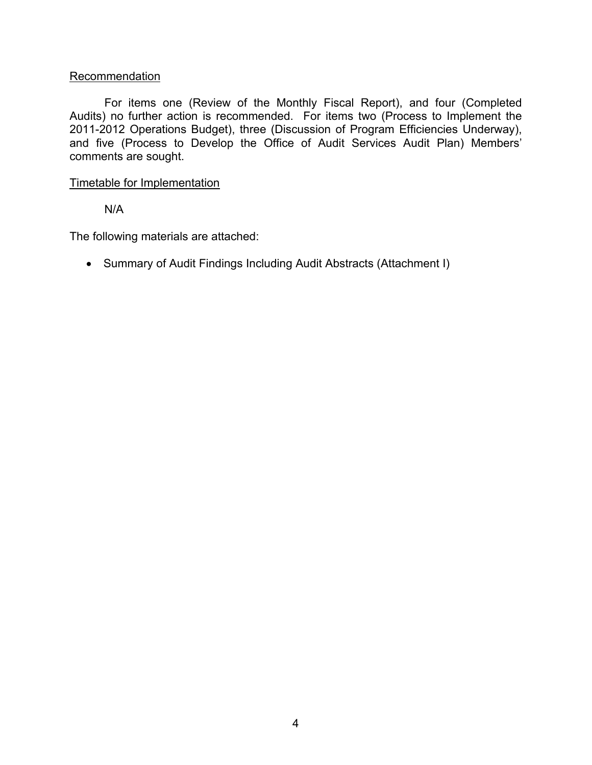## **Recommendation**

For items one (Review of the Monthly Fiscal Report), and four (Completed Audits) no further action is recommended. For items two (Process to Implement the 2011-2012 Operations Budget), three (Discussion of Program Efficiencies Underway), and five (Process to Develop the Office of Audit Services Audit Plan) Members' comments are sought.

#### Timetable for Implementation

N/A

The following materials are attached:

Summary of Audit Findings Including Audit Abstracts (Attachment I)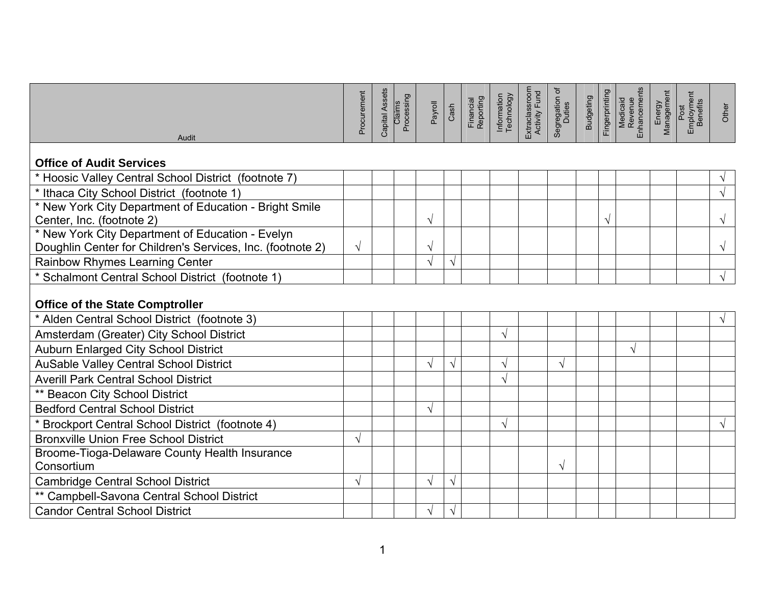| Audit                                                                               | Procurement | Capital Assets | Claims<br>Processing | Payroll   | Cash          | Financial<br>Reporting | Information<br>Technology | Extraclassroom<br>Activity Fund | Segregation of<br>Duties | <b>Budgeting</b> | Fingerprinting | Medicaid<br>Revenue<br>Enhancements | Energy<br>Management | Employment<br>Benefits<br>Post | Other     |
|-------------------------------------------------------------------------------------|-------------|----------------|----------------------|-----------|---------------|------------------------|---------------------------|---------------------------------|--------------------------|------------------|----------------|-------------------------------------|----------------------|--------------------------------|-----------|
|                                                                                     |             |                |                      |           |               |                        |                           |                                 |                          |                  |                |                                     |                      |                                |           |
| <b>Office of Audit Services</b>                                                     |             |                |                      |           |               |                        |                           |                                 |                          |                  |                |                                     |                      |                                |           |
| * Hoosic Valley Central School District (footnote 7)                                |             |                |                      |           |               |                        |                           |                                 |                          |                  |                |                                     |                      |                                |           |
| * Ithaca City School District (footnote 1)                                          |             |                |                      |           |               |                        |                           |                                 |                          |                  |                |                                     |                      |                                |           |
| * New York City Department of Education - Bright Smile<br>Center, Inc. (footnote 2) |             |                |                      | $\sqrt{}$ |               |                        |                           |                                 |                          |                  | $\sqrt{}$      |                                     |                      |                                | V         |
| * New York City Department of Education - Evelyn                                    |             |                |                      |           |               |                        |                           |                                 |                          |                  |                |                                     |                      |                                |           |
| Doughlin Center for Children's Services, Inc. (footnote 2)                          | $\sqrt{ }$  |                |                      | ٦         |               |                        |                           |                                 |                          |                  |                |                                     |                      |                                | $\sqrt{}$ |
| <b>Rainbow Rhymes Learning Center</b>                                               |             |                |                      | ٦         | $\mathcal{N}$ |                        |                           |                                 |                          |                  |                |                                     |                      |                                |           |
| * Schalmont Central School District (footnote 1)                                    |             |                |                      |           |               |                        |                           |                                 |                          |                  |                |                                     |                      |                                | $\sqrt{}$ |
| <b>Office of the State Comptroller</b>                                              |             |                |                      |           |               |                        |                           |                                 |                          |                  |                |                                     |                      |                                |           |
| * Alden Central School District (footnote 3)                                        |             |                |                      |           |               |                        |                           |                                 |                          |                  |                |                                     |                      |                                |           |
| Amsterdam (Greater) City School District                                            |             |                |                      |           |               |                        | $\sqrt{}$                 |                                 |                          |                  |                |                                     |                      |                                |           |
| <b>Auburn Enlarged City School District</b>                                         |             |                |                      |           |               |                        |                           |                                 |                          |                  |                |                                     |                      |                                |           |
| <b>AuSable Valley Central School District</b>                                       |             |                |                      | ٦         | $\sqrt{ }$    |                        | $\sqrt{}$                 |                                 | $\sqrt{}$                |                  |                |                                     |                      |                                |           |
| <b>Averill Park Central School District</b>                                         |             |                |                      |           |               |                        | $\sqrt{}$                 |                                 |                          |                  |                |                                     |                      |                                |           |
| ** Beacon City School District                                                      |             |                |                      |           |               |                        |                           |                                 |                          |                  |                |                                     |                      |                                |           |
| <b>Bedford Central School District</b>                                              |             |                |                      | V         |               |                        |                           |                                 |                          |                  |                |                                     |                      |                                |           |
| * Brockport Central School District (footnote 4)                                    |             |                |                      |           |               |                        | V                         |                                 |                          |                  |                |                                     |                      |                                |           |
| <b>Bronxville Union Free School District</b>                                        | V           |                |                      |           |               |                        |                           |                                 |                          |                  |                |                                     |                      |                                |           |
| Broome-Tioga-Delaware County Health Insurance                                       |             |                |                      |           |               |                        |                           |                                 |                          |                  |                |                                     |                      |                                |           |
| Consortium                                                                          |             |                |                      |           |               |                        |                           |                                 | $\sqrt{}$                |                  |                |                                     |                      |                                |           |
| <b>Cambridge Central School District</b>                                            | V           |                |                      | ٦         | $\sqrt{ }$    |                        |                           |                                 |                          |                  |                |                                     |                      |                                |           |
| ** Campbell-Savona Central School District                                          |             |                |                      |           |               |                        |                           |                                 |                          |                  |                |                                     |                      |                                |           |
| <b>Candor Central School District</b>                                               |             |                |                      |           | V             |                        |                           |                                 |                          |                  |                |                                     |                      |                                |           |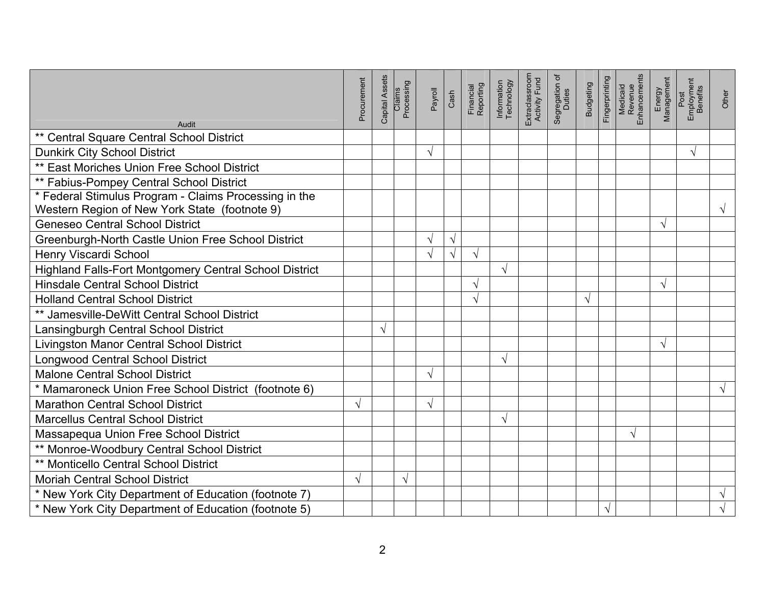| Audit                                                                                                  | Procurement | Capital Assets | Claims<br>Processing | Payroll<br>Cash |           | Financial<br>Reporting | Information<br>Technology | Extraclassroom<br>Activity Fund | ৳<br>Segregation o | <b>Budgeting</b> | Fingerprinting | Medicaid<br>Revenue<br>Enhancements | Energy<br>Management | Post<br>Employment<br>Benefits | Other      |
|--------------------------------------------------------------------------------------------------------|-------------|----------------|----------------------|-----------------|-----------|------------------------|---------------------------|---------------------------------|--------------------|------------------|----------------|-------------------------------------|----------------------|--------------------------------|------------|
| ** Central Square Central School District                                                              |             |                |                      |                 |           |                        |                           |                                 |                    |                  |                |                                     |                      |                                |            |
| <b>Dunkirk City School District</b>                                                                    |             |                |                      | $\sqrt{}$       |           |                        |                           |                                 |                    |                  |                |                                     |                      | $\sqrt{}$                      |            |
| ** East Moriches Union Free School District                                                            |             |                |                      |                 |           |                        |                           |                                 |                    |                  |                |                                     |                      |                                |            |
| ** Fabius-Pompey Central School District                                                               |             |                |                      |                 |           |                        |                           |                                 |                    |                  |                |                                     |                      |                                |            |
| * Federal Stimulus Program - Claims Processing in the<br>Western Region of New York State (footnote 9) |             |                |                      |                 |           |                        |                           |                                 |                    |                  |                |                                     |                      |                                | V          |
| <b>Geneseo Central School District</b>                                                                 |             |                |                      |                 |           |                        |                           |                                 |                    |                  |                |                                     | V                    |                                |            |
| Greenburgh-North Castle Union Free School District                                                     |             |                |                      | V               | $\sqrt{}$ |                        |                           |                                 |                    |                  |                |                                     |                      |                                |            |
| Henry Viscardi School                                                                                  |             |                |                      |                 | $\sqrt{}$ | $\sqrt{}$              |                           |                                 |                    |                  |                |                                     |                      |                                |            |
| Highland Falls-Fort Montgomery Central School District                                                 |             |                |                      |                 |           |                        | $\sqrt{}$                 |                                 |                    |                  |                |                                     |                      |                                |            |
| <b>Hinsdale Central School District</b>                                                                |             |                |                      |                 |           |                        |                           |                                 |                    |                  |                |                                     | $\sqrt{}$            |                                |            |
| <b>Holland Central School District</b>                                                                 |             |                |                      |                 |           | V                      |                           |                                 |                    | V                |                |                                     |                      |                                |            |
| ** Jamesville-DeWitt Central School District                                                           |             |                |                      |                 |           |                        |                           |                                 |                    |                  |                |                                     |                      |                                |            |
| Lansingburgh Central School District                                                                   |             | V              |                      |                 |           |                        |                           |                                 |                    |                  |                |                                     |                      |                                |            |
| Livingston Manor Central School District                                                               |             |                |                      |                 |           |                        |                           |                                 |                    |                  |                |                                     | V                    |                                |            |
| <b>Longwood Central School District</b>                                                                |             |                |                      |                 |           |                        | √                         |                                 |                    |                  |                |                                     |                      |                                |            |
| <b>Malone Central School District</b>                                                                  |             |                |                      | V               |           |                        |                           |                                 |                    |                  |                |                                     |                      |                                |            |
| * Mamaroneck Union Free School District (footnote 6)                                                   |             |                |                      |                 |           |                        |                           |                                 |                    |                  |                |                                     |                      |                                | $\sqrt{ }$ |
| <b>Marathon Central School District</b>                                                                | $\sqrt{}$   |                |                      | $\sqrt{ }$      |           |                        |                           |                                 |                    |                  |                |                                     |                      |                                |            |
| <b>Marcellus Central School District</b>                                                               |             |                |                      |                 |           |                        | V                         |                                 |                    |                  |                |                                     |                      |                                |            |
| Massapequa Union Free School District                                                                  |             |                |                      |                 |           |                        |                           |                                 |                    |                  |                | V                                   |                      |                                |            |
| ** Monroe-Woodbury Central School District                                                             |             |                |                      |                 |           |                        |                           |                                 |                    |                  |                |                                     |                      |                                |            |
| <b>** Monticello Central School District</b>                                                           |             |                |                      |                 |           |                        |                           |                                 |                    |                  |                |                                     |                      |                                |            |
| <b>Moriah Central School District</b>                                                                  | √           |                | V                    |                 |           |                        |                           |                                 |                    |                  |                |                                     |                      |                                |            |
| * New York City Department of Education (footnote 7)                                                   |             |                |                      |                 |           |                        |                           |                                 |                    |                  |                |                                     |                      |                                | $\sqrt{ }$ |
| * New York City Department of Education (footnote 5)                                                   |             |                |                      |                 |           |                        |                           |                                 |                    |                  | $\sqrt{ }$     |                                     |                      |                                |            |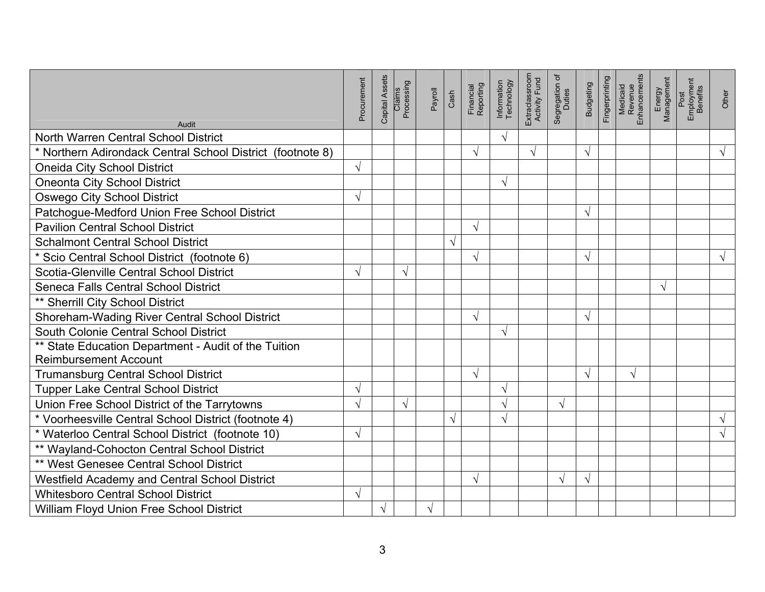| Audit                                                      | Procurement | Capital Assets | Claims<br>Processing | Payroll<br>Cash |           | Financial<br>Reporting | Information<br>Technology | Extraclassroom<br>Activity Fund | Segregation of<br>Duties | <b>Budgeting</b> | Fingerprinting | Medicaid<br>Revenue<br>Enhancements | Energy<br>Management | Post<br>Employment<br>Benefits | Other      |
|------------------------------------------------------------|-------------|----------------|----------------------|-----------------|-----------|------------------------|---------------------------|---------------------------------|--------------------------|------------------|----------------|-------------------------------------|----------------------|--------------------------------|------------|
| North Warren Central School District                       |             |                |                      |                 |           |                        | $\sqrt{}$                 |                                 |                          |                  |                |                                     |                      |                                |            |
| * Northern Adirondack Central School District (footnote 8) |             |                |                      |                 |           | $\sqrt{}$              |                           | $\sqrt{}$                       |                          | V                |                |                                     |                      |                                | $\sqrt{ }$ |
| <b>Oneida City School District</b>                         | V           |                |                      |                 |           |                        |                           |                                 |                          |                  |                |                                     |                      |                                |            |
| <b>Oneonta City School District</b>                        |             |                |                      |                 |           |                        | $\sqrt{}$                 |                                 |                          |                  |                |                                     |                      |                                |            |
| <b>Oswego City School District</b>                         | V           |                |                      |                 |           |                        |                           |                                 |                          |                  |                |                                     |                      |                                |            |
| Patchogue-Medford Union Free School District               |             |                |                      |                 |           |                        |                           |                                 |                          | V                |                |                                     |                      |                                |            |
| <b>Pavilion Central School District</b>                    |             |                |                      |                 |           | √                      |                           |                                 |                          |                  |                |                                     |                      |                                |            |
| <b>Schalmont Central School District</b>                   |             |                |                      |                 | $\sqrt{}$ |                        |                           |                                 |                          |                  |                |                                     |                      |                                |            |
| * Scio Central School District (footnote 6)                |             |                |                      |                 |           | $\sqrt{}$              |                           |                                 |                          | ٦                |                |                                     |                      |                                | $\sqrt{}$  |
| Scotia-Glenville Central School District                   |             |                | $\sqrt{}$            |                 |           |                        |                           |                                 |                          |                  |                |                                     |                      |                                |            |
| Seneca Falls Central School District                       |             |                |                      |                 |           |                        |                           |                                 |                          |                  |                |                                     | $\sqrt{ }$           |                                |            |
| ** Sherrill City School District                           |             |                |                      |                 |           |                        |                           |                                 |                          |                  |                |                                     |                      |                                |            |
| Shoreham-Wading River Central School District              |             |                |                      |                 |           | $\sqrt{}$              |                           |                                 |                          | V                |                |                                     |                      |                                |            |
| South Colonie Central School District                      |             |                |                      |                 |           |                        | $\sqrt{}$                 |                                 |                          |                  |                |                                     |                      |                                |            |
| ** State Education Department - Audit of the Tuition       |             |                |                      |                 |           |                        |                           |                                 |                          |                  |                |                                     |                      |                                |            |
| <b>Reimbursement Account</b>                               |             |                |                      |                 |           |                        |                           |                                 |                          |                  |                |                                     |                      |                                |            |
| <b>Trumansburg Central School District</b>                 |             |                |                      |                 |           | V                      |                           |                                 |                          | V                |                | $\sqrt{}$                           |                      |                                |            |
| <b>Tupper Lake Central School District</b>                 | V           |                |                      |                 |           |                        | $\sqrt{}$                 |                                 |                          |                  |                |                                     |                      |                                |            |
| Union Free School District of the Tarrytowns               | V           |                | $\sqrt{}$            |                 |           |                        | $\sqrt{}$                 |                                 | $\sqrt{}$                |                  |                |                                     |                      |                                |            |
| * Voorheesville Central School District (footnote 4)       |             |                |                      |                 | $\sqrt{}$ |                        | $\sqrt{}$                 |                                 |                          |                  |                |                                     |                      |                                | $\sqrt{ }$ |
| * Waterloo Central School District (footnote 10)           | V           |                |                      |                 |           |                        |                           |                                 |                          |                  |                |                                     |                      |                                | $\sqrt{}$  |
| ** Wayland-Cohocton Central School District                |             |                |                      |                 |           |                        |                           |                                 |                          |                  |                |                                     |                      |                                |            |
| ** West Genesee Central School District                    |             |                |                      |                 |           |                        |                           |                                 |                          |                  |                |                                     |                      |                                |            |
| Westfield Academy and Central School District              |             |                |                      |                 |           | $\sqrt{ }$             |                           |                                 | $\sqrt{ }$               |                  |                |                                     |                      |                                |            |
| <b>Whitesboro Central School District</b>                  | V           |                |                      |                 |           |                        |                           |                                 |                          |                  |                |                                     |                      |                                |            |
| William Floyd Union Free School District                   |             | $\sqrt{}$      |                      | V               |           |                        |                           |                                 |                          |                  |                |                                     |                      |                                |            |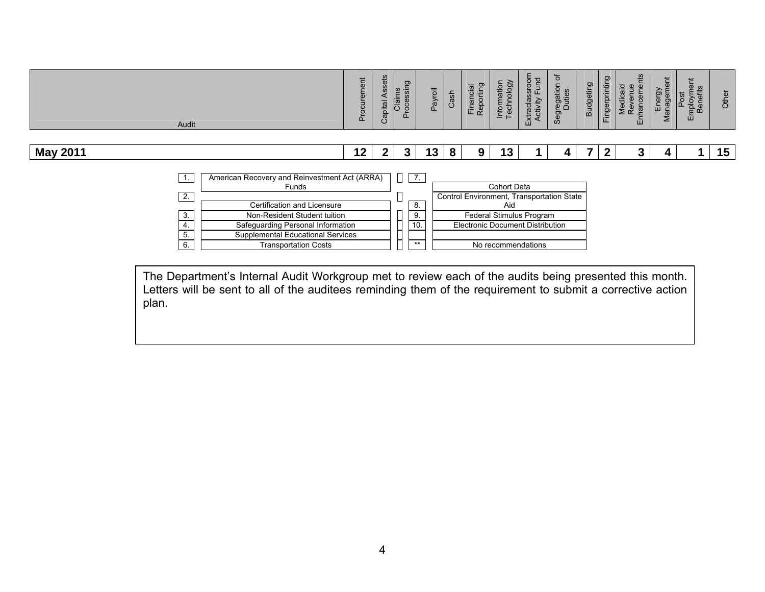|                 | Audit                                                                |                                                                                                                                                                                                 | urement<br>$\Omega$ | Assets<br>Capital | Processing<br>Claims | Payroll        | Cash | Financial<br>Reporting                                                        | Information<br>Technology | Extraclassroom<br>Activity Fund | ৳<br>Segregation | <b>Budgeting</b> | Fingerprinting | Enhancements<br>Medicaid<br>Revenue | Energy<br>Manageme | imployment<br>Benefits<br>Post<br>ш | Other |
|-----------------|----------------------------------------------------------------------|-------------------------------------------------------------------------------------------------------------------------------------------------------------------------------------------------|---------------------|-------------------|----------------------|----------------|------|-------------------------------------------------------------------------------|---------------------------|---------------------------------|------------------|------------------|----------------|-------------------------------------|--------------------|-------------------------------------|-------|
| <b>May 2011</b> |                                                                      |                                                                                                                                                                                                 | 12 <sub>1</sub>     | $\mathbf 2$       | 3                    | 13             | 8    | 9                                                                             | 13                        |                                 |                  | 7                | $\mathbf{2}$   | 3                                   |                    |                                     | 15    |
|                 | $\overline{1}$ .<br>$\overline{2}$ .<br>$\overline{3}$ .<br>4.<br>5. | American Recovery and Reinvestment Act (ARRA)<br>Funds<br>Certification and Licensure<br>Non-Resident Student tuition<br>Safeguarding Personal Information<br>Supplemental Educational Services |                     |                   | $\sqrt{7}$ .         | 8.<br>9.<br>10 |      | Control Environment, Transportation State<br>Electronic Document Distribution | Cohort Data<br>Aid        | Federal Stimulus Program        |                  |                  |                |                                     |                    |                                     |       |
|                 | 6.                                                                   | <b>Transportation Costs</b>                                                                                                                                                                     |                     |                   |                      | $***$          |      |                                                                               |                           | No recommendations              |                  |                  |                |                                     |                    |                                     |       |

The Department's Internal Audit Workgroup met to review each of the audits being presented this month. Letters will be sent to all of the auditees reminding them of the requirement to submit a corrective action plan.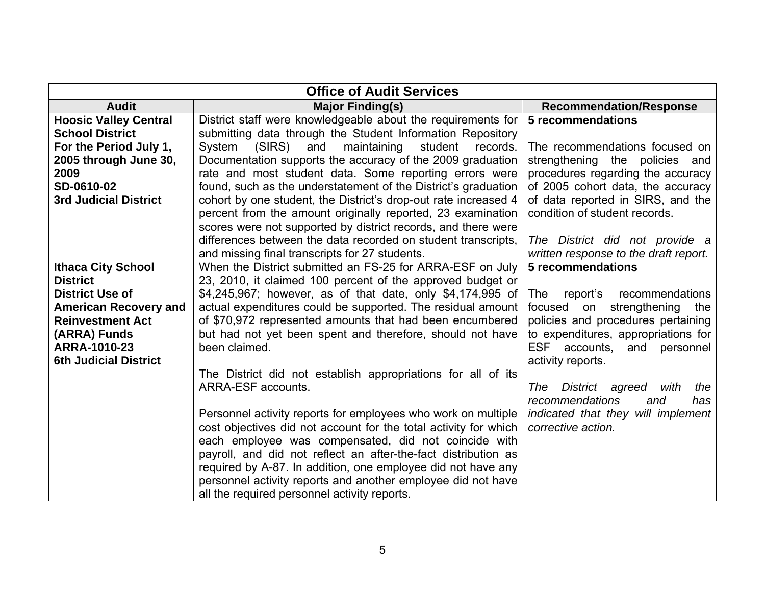|                              | <b>Office of Audit Services</b>                                                                                                                                                                                                                                                                                                                                            |                                       |
|------------------------------|----------------------------------------------------------------------------------------------------------------------------------------------------------------------------------------------------------------------------------------------------------------------------------------------------------------------------------------------------------------------------|---------------------------------------|
| <b>Audit</b>                 | <b>Major Finding(s)</b>                                                                                                                                                                                                                                                                                                                                                    | <b>Recommendation/Response</b>        |
| <b>Hoosic Valley Central</b> | District staff were knowledgeable about the requirements for                                                                                                                                                                                                                                                                                                               | 5 recommendations                     |
| <b>School District</b>       | submitting data through the Student Information Repository                                                                                                                                                                                                                                                                                                                 |                                       |
| For the Period July 1,       | (SIRS)<br>and<br>maintaining<br>student<br>System<br>records.                                                                                                                                                                                                                                                                                                              | The recommendations focused on        |
| 2005 through June 30,        | Documentation supports the accuracy of the 2009 graduation                                                                                                                                                                                                                                                                                                                 | strengthening the policies and        |
| 2009                         | rate and most student data. Some reporting errors were                                                                                                                                                                                                                                                                                                                     | procedures regarding the accuracy     |
| SD-0610-02                   | found, such as the understatement of the District's graduation                                                                                                                                                                                                                                                                                                             | of 2005 cohort data, the accuracy     |
| <b>3rd Judicial District</b> | cohort by one student, the District's drop-out rate increased 4                                                                                                                                                                                                                                                                                                            | of data reported in SIRS, and the     |
|                              | percent from the amount originally reported, 23 examination                                                                                                                                                                                                                                                                                                                | condition of student records.         |
|                              | scores were not supported by district records, and there were                                                                                                                                                                                                                                                                                                              |                                       |
|                              | differences between the data recorded on student transcripts,                                                                                                                                                                                                                                                                                                              | The District did not provide a        |
|                              | and missing final transcripts for 27 students.                                                                                                                                                                                                                                                                                                                             | written response to the draft report. |
| <b>Ithaca City School</b>    | When the District submitted an FS-25 for ARRA-ESF on July                                                                                                                                                                                                                                                                                                                  | <b>5 recommendations</b>              |
| <b>District</b>              | 23, 2010, it claimed 100 percent of the approved budget or                                                                                                                                                                                                                                                                                                                 |                                       |
| <b>District Use of</b>       | \$4,245,967; however, as of that date, only \$4,174,995 of                                                                                                                                                                                                                                                                                                                 | recommendations<br>The<br>report's    |
| <b>American Recovery and</b> | actual expenditures could be supported. The residual amount                                                                                                                                                                                                                                                                                                                | focused on<br>strengthening<br>the    |
| <b>Reinvestment Act</b>      | of \$70,972 represented amounts that had been encumbered                                                                                                                                                                                                                                                                                                                   | policies and procedures pertaining    |
| (ARRA) Funds                 | but had not yet been spent and therefore, should not have                                                                                                                                                                                                                                                                                                                  | to expenditures, appropriations for   |
| ARRA-1010-23                 | been claimed.                                                                                                                                                                                                                                                                                                                                                              | ESF accounts,<br>and<br>personnel     |
| <b>6th Judicial District</b> |                                                                                                                                                                                                                                                                                                                                                                            | activity reports.                     |
|                              | The District did not establish appropriations for all of its                                                                                                                                                                                                                                                                                                               |                                       |
|                              | ARRA-ESF accounts.                                                                                                                                                                                                                                                                                                                                                         | District agreed<br>The<br>with<br>the |
|                              |                                                                                                                                                                                                                                                                                                                                                                            | recommendations<br>has<br>and         |
|                              | Personnel activity reports for employees who work on multiple                                                                                                                                                                                                                                                                                                              | indicated that they will implement    |
|                              |                                                                                                                                                                                                                                                                                                                                                                            |                                       |
|                              |                                                                                                                                                                                                                                                                                                                                                                            |                                       |
|                              |                                                                                                                                                                                                                                                                                                                                                                            |                                       |
|                              |                                                                                                                                                                                                                                                                                                                                                                            |                                       |
|                              |                                                                                                                                                                                                                                                                                                                                                                            |                                       |
|                              | cost objectives did not account for the total activity for which<br>each employee was compensated, did not coincide with<br>payroll, and did not reflect an after-the-fact distribution as<br>required by A-87. In addition, one employee did not have any<br>personnel activity reports and another employee did not have<br>all the required personnel activity reports. | corrective action.                    |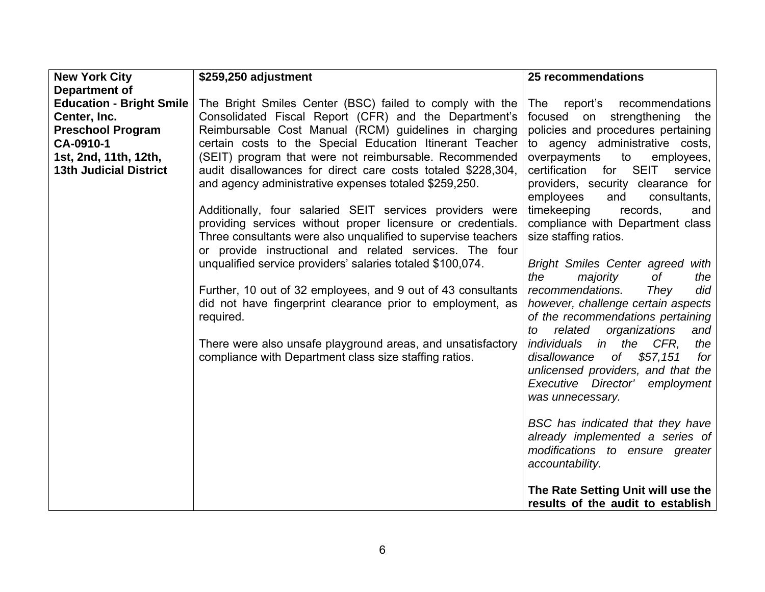| <b>New York City</b>            | \$259,250 adjustment                                          | 25 recommendations                                                      |
|---------------------------------|---------------------------------------------------------------|-------------------------------------------------------------------------|
| Department of                   |                                                               |                                                                         |
| <b>Education - Bright Smile</b> | The Bright Smiles Center (BSC) failed to comply with the      | report's recommendations<br>The                                         |
| Center, Inc.                    | Consolidated Fiscal Report (CFR) and the Department's         | strengthening<br>focused<br>on<br>the                                   |
| <b>Preschool Program</b>        | Reimbursable Cost Manual (RCM) guidelines in charging         | policies and procedures pertaining                                      |
| CA-0910-1                       | certain costs to the Special Education Itinerant Teacher      | to agency administrative costs,                                         |
| 1st, 2nd, 11th, 12th,           | (SEIT) program that were not reimbursable. Recommended        | overpayments<br>to<br>employees,                                        |
| <b>13th Judicial District</b>   | audit disallowances for direct care costs totaled \$228,304,  | for SEIT<br>certification<br>service                                    |
|                                 | and agency administrative expenses totaled \$259,250.         | providers, security clearance for<br>employees<br>and<br>consultants,   |
|                                 | Additionally, four salaried SEIT services providers were      | timekeeping<br>records,<br>and                                          |
|                                 | providing services without proper licensure or credentials.   | compliance with Department class                                        |
|                                 | Three consultants were also unqualified to supervise teachers | size staffing ratios.                                                   |
|                                 | or provide instructional and related services. The four       |                                                                         |
|                                 | unqualified service providers' salaries totaled \$100,074.    | <b>Bright Smiles Center agreed</b><br>with                              |
|                                 |                                                               | of<br>the<br>the<br>majority                                            |
|                                 | Further, 10 out of 32 employees, and 9 out of 43 consultants  | recommendations.<br>They<br>did                                         |
|                                 | did not have fingerprint clearance prior to employment, as    | however, challenge certain aspects                                      |
|                                 | required.                                                     | of the recommendations pertaining                                       |
|                                 |                                                               | related<br>organizations<br>and<br>to                                   |
|                                 | There were also unsafe playground areas, and unsatisfactory   | <i>individuals in</i><br>the<br>CFR,<br>the                             |
|                                 | compliance with Department class size staffing ratios.        | of<br>\$57,151<br>disallowance<br>for                                   |
|                                 |                                                               | unlicensed providers, and that the                                      |
|                                 |                                                               | Executive Director'<br>employment                                       |
|                                 |                                                               | was unnecessary.                                                        |
|                                 |                                                               | BSC has indicated that they have                                        |
|                                 |                                                               | already implemented a series of                                         |
|                                 |                                                               | modifications to ensure greater                                         |
|                                 |                                                               | accountability.                                                         |
|                                 |                                                               | The Rate Setting Unit will use the<br>results of the audit to establish |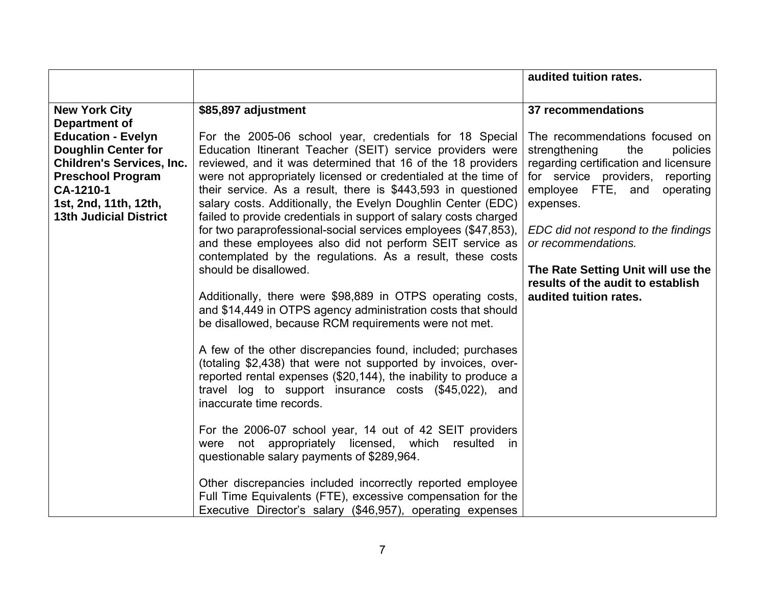|                                                                                                                                                                                                |                                                                                                                                                                                                                                                                                                                                                                                                                                                                                                                                                                                                                                                                                                                                                                                                                                                                                                                                                                                                                                                                                                                                                                                                                                                                                                                                                                                               | audited tuition rates.                                                                                                                                                                                                                                                                                                                                               |
|------------------------------------------------------------------------------------------------------------------------------------------------------------------------------------------------|-----------------------------------------------------------------------------------------------------------------------------------------------------------------------------------------------------------------------------------------------------------------------------------------------------------------------------------------------------------------------------------------------------------------------------------------------------------------------------------------------------------------------------------------------------------------------------------------------------------------------------------------------------------------------------------------------------------------------------------------------------------------------------------------------------------------------------------------------------------------------------------------------------------------------------------------------------------------------------------------------------------------------------------------------------------------------------------------------------------------------------------------------------------------------------------------------------------------------------------------------------------------------------------------------------------------------------------------------------------------------------------------------|----------------------------------------------------------------------------------------------------------------------------------------------------------------------------------------------------------------------------------------------------------------------------------------------------------------------------------------------------------------------|
|                                                                                                                                                                                                |                                                                                                                                                                                                                                                                                                                                                                                                                                                                                                                                                                                                                                                                                                                                                                                                                                                                                                                                                                                                                                                                                                                                                                                                                                                                                                                                                                                               |                                                                                                                                                                                                                                                                                                                                                                      |
| <b>New York City</b><br>Department of                                                                                                                                                          | \$85,897 adjustment                                                                                                                                                                                                                                                                                                                                                                                                                                                                                                                                                                                                                                                                                                                                                                                                                                                                                                                                                                                                                                                                                                                                                                                                                                                                                                                                                                           | 37 recommendations                                                                                                                                                                                                                                                                                                                                                   |
| <b>Education - Evelyn</b><br><b>Doughlin Center for</b><br><b>Children's Services, Inc.</b><br><b>Preschool Program</b><br>CA-1210-1<br>1st, 2nd, 11th, 12th,<br><b>13th Judicial District</b> | For the 2005-06 school year, credentials for 18 Special<br>Education Itinerant Teacher (SEIT) service providers were<br>reviewed, and it was determined that 16 of the 18 providers<br>were not appropriately licensed or credentialed at the time of<br>their service. As a result, there is \$443,593 in questioned<br>salary costs. Additionally, the Evelyn Doughlin Center (EDC)<br>failed to provide credentials in support of salary costs charged<br>for two paraprofessional-social services employees (\$47,853),<br>and these employees also did not perform SEIT service as<br>contemplated by the regulations. As a result, these costs<br>should be disallowed.<br>Additionally, there were \$98,889 in OTPS operating costs,<br>and \$14,449 in OTPS agency administration costs that should<br>be disallowed, because RCM requirements were not met.<br>A few of the other discrepancies found, included; purchases<br>(totaling \$2,438) that were not supported by invoices, over-<br>reported rental expenses (\$20,144), the inability to produce a<br>travel log to support insurance costs (\$45,022), and<br>inaccurate time records.<br>For the 2006-07 school year, 14 out of 42 SEIT providers<br>were not appropriately licensed, which resulted<br>in<br>questionable salary payments of \$289,964.<br>Other discrepancies included incorrectly reported employee | The recommendations focused on<br>strengthening<br>the<br>policies<br>regarding certification and licensure<br>for service providers,<br>reporting<br>employee FTE, and<br>operating<br>expenses.<br>EDC did not respond to the findings<br>or recommendations.<br>The Rate Setting Unit will use the<br>results of the audit to establish<br>audited tuition rates. |
|                                                                                                                                                                                                | Full Time Equivalents (FTE), excessive compensation for the<br>Executive Director's salary (\$46,957), operating expenses                                                                                                                                                                                                                                                                                                                                                                                                                                                                                                                                                                                                                                                                                                                                                                                                                                                                                                                                                                                                                                                                                                                                                                                                                                                                     |                                                                                                                                                                                                                                                                                                                                                                      |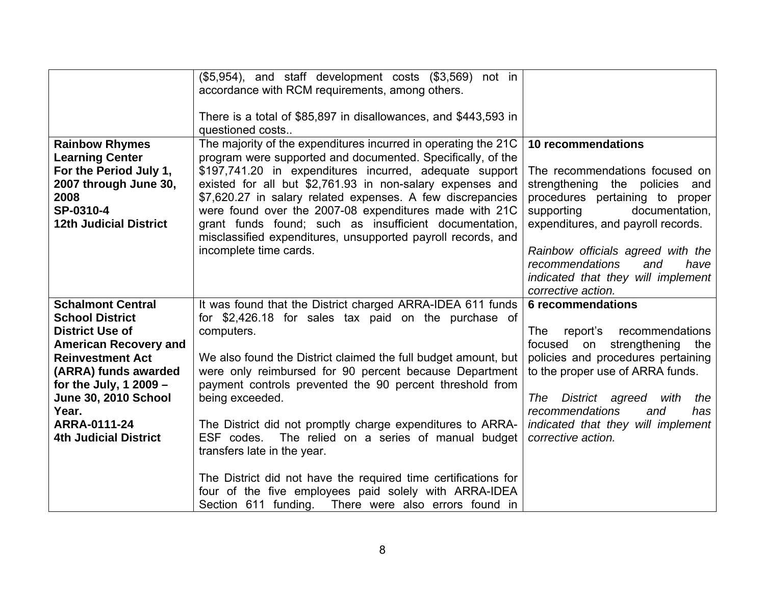| <b>Rainbow Rhymes</b><br><b>Learning Center</b><br>For the Period July 1,<br>2007 through June 30,<br>2008<br>SP-0310-4<br><b>12th Judicial District</b>                                                                                                                            | (\$5,954), and staff development costs (\$3,569) not in<br>accordance with RCM requirements, among others.<br>There is a total of \$85,897 in disallowances, and \$443,593 in<br>questioned costs<br>The majority of the expenditures incurred in operating the 21C<br>program were supported and documented. Specifically, of the<br>\$197,741.20 in expenditures incurred, adequate support<br>existed for all but \$2,761.93 in non-salary expenses and<br>\$7,620.27 in salary related expenses. A few discrepancies<br>were found over the 2007-08 expenditures made with 21C<br>grant funds found; such as insufficient documentation,<br>misclassified expenditures, unsupported payroll records, and<br>incomplete time cards. | 10 recommendations<br>The recommendations focused on<br>strengthening the policies and<br>procedures pertaining to proper<br>supporting<br>documentation,<br>expenditures, and payroll records.<br>Rainbow officials agreed with the<br>recommendations<br>and<br>have<br>indicated that they will implement<br>corrective action. |
|-------------------------------------------------------------------------------------------------------------------------------------------------------------------------------------------------------------------------------------------------------------------------------------|----------------------------------------------------------------------------------------------------------------------------------------------------------------------------------------------------------------------------------------------------------------------------------------------------------------------------------------------------------------------------------------------------------------------------------------------------------------------------------------------------------------------------------------------------------------------------------------------------------------------------------------------------------------------------------------------------------------------------------------|------------------------------------------------------------------------------------------------------------------------------------------------------------------------------------------------------------------------------------------------------------------------------------------------------------------------------------|
| <b>Schalmont Central</b><br><b>School District</b><br><b>District Use of</b><br><b>American Recovery and</b><br><b>Reinvestment Act</b><br>(ARRA) funds awarded<br>for the July, 1 2009 $-$<br><b>June 30, 2010 School</b><br>Year.<br>ARRA-0111-24<br><b>4th Judicial District</b> | It was found that the District charged ARRA-IDEA 611 funds<br>for \$2,426.18 for sales tax paid on the purchase of<br>computers.<br>We also found the District claimed the full budget amount, but<br>were only reimbursed for 90 percent because Department<br>payment controls prevented the 90 percent threshold from<br>being exceeded.<br>The District did not promptly charge expenditures to ARRA-<br>ESF codes.<br>The relied on a series of manual budget<br>transfers late in the year.<br>The District did not have the required time certifications for<br>four of the five employees paid solely with ARRA-IDEA<br>Section 611 funding.<br>There were also errors found in                                                | <b>6</b> recommendations<br>report's<br>recommendations<br>The<br>focused on<br>strengthening the<br>policies and procedures pertaining<br>to the proper use of ARRA funds.<br>District agreed<br>with<br>The<br>the<br>recommendations<br>and<br>has<br>indicated that they will implement<br>corrective action.                  |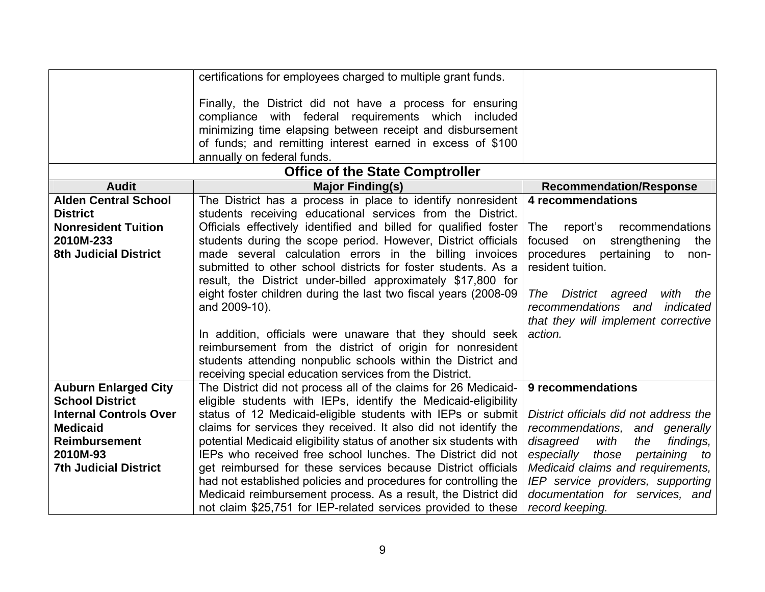|                                        | certifications for employees charged to multiple grant funds.                                                                                                                 |                                        |  |  |  |  |  |  |
|----------------------------------------|-------------------------------------------------------------------------------------------------------------------------------------------------------------------------------|----------------------------------------|--|--|--|--|--|--|
|                                        | Finally, the District did not have a process for ensuring<br>compliance with federal requirements which included<br>minimizing time elapsing between receipt and disbursement |                                        |  |  |  |  |  |  |
|                                        | of funds; and remitting interest earned in excess of \$100                                                                                                                    |                                        |  |  |  |  |  |  |
|                                        | annually on federal funds.                                                                                                                                                    |                                        |  |  |  |  |  |  |
| <b>Office of the State Comptroller</b> |                                                                                                                                                                               |                                        |  |  |  |  |  |  |
| <b>Audit</b>                           | <b>Major Finding(s)</b>                                                                                                                                                       | <b>Recommendation/Response</b>         |  |  |  |  |  |  |
| <b>Alden Central School</b>            | The District has a process in place to identify nonresident                                                                                                                   | 4 recommendations                      |  |  |  |  |  |  |
| <b>District</b>                        | students receiving educational services from the District.                                                                                                                    |                                        |  |  |  |  |  |  |
| <b>Nonresident Tuition</b>             | Officials effectively identified and billed for qualified foster                                                                                                              | report's<br>recommendations<br>The     |  |  |  |  |  |  |
| 2010M-233                              | students during the scope period. However, District officials                                                                                                                 | focused on<br>strengthening<br>the     |  |  |  |  |  |  |
| <b>8th Judicial District</b>           | made several calculation errors in the billing invoices                                                                                                                       | procedures pertaining<br>to<br>non-    |  |  |  |  |  |  |
|                                        | submitted to other school districts for foster students. As a                                                                                                                 | resident tuition.                      |  |  |  |  |  |  |
|                                        | result, the District under-billed approximately \$17,800 for<br>eight foster children during the last two fiscal years (2008-09)                                              | The District agreed<br>with<br>the     |  |  |  |  |  |  |
|                                        | and 2009-10).                                                                                                                                                                 | recommendations and<br>indicated       |  |  |  |  |  |  |
|                                        |                                                                                                                                                                               | that they will implement corrective    |  |  |  |  |  |  |
|                                        | In addition, officials were unaware that they should seek                                                                                                                     | action.                                |  |  |  |  |  |  |
|                                        | reimbursement from the district of origin for nonresident                                                                                                                     |                                        |  |  |  |  |  |  |
|                                        | students attending nonpublic schools within the District and                                                                                                                  |                                        |  |  |  |  |  |  |
|                                        | receiving special education services from the District.                                                                                                                       |                                        |  |  |  |  |  |  |
| <b>Auburn Enlarged City</b>            | The District did not process all of the claims for 26 Medicaid-                                                                                                               | 9 recommendations                      |  |  |  |  |  |  |
| <b>School District</b>                 | eligible students with IEPs, identify the Medicaid-eligibility                                                                                                                |                                        |  |  |  |  |  |  |
| <b>Internal Controls Over</b>          | status of 12 Medicaid-eligible students with IEPs or submit                                                                                                                   | District officials did not address the |  |  |  |  |  |  |
| <b>Medicaid</b>                        | claims for services they received. It also did not identify the                                                                                                               | recommendations, and generally         |  |  |  |  |  |  |
| <b>Reimbursement</b>                   | potential Medicaid eligibility status of another six students with                                                                                                            | disagreed<br>with<br>findings,<br>the  |  |  |  |  |  |  |
| 2010M-93                               | IEPs who received free school lunches. The District did not                                                                                                                   | especially<br>those<br>pertaining to   |  |  |  |  |  |  |
| <b>7th Judicial District</b>           | get reimbursed for these services because District officials                                                                                                                  | Medicaid claims and requirements,      |  |  |  |  |  |  |
|                                        | had not established policies and procedures for controlling the                                                                                                               | IEP service providers, supporting      |  |  |  |  |  |  |
|                                        | Medicaid reimbursement process. As a result, the District did                                                                                                                 | documentation for services, and        |  |  |  |  |  |  |
|                                        | not claim \$25,751 for IEP-related services provided to these                                                                                                                 | record keeping.                        |  |  |  |  |  |  |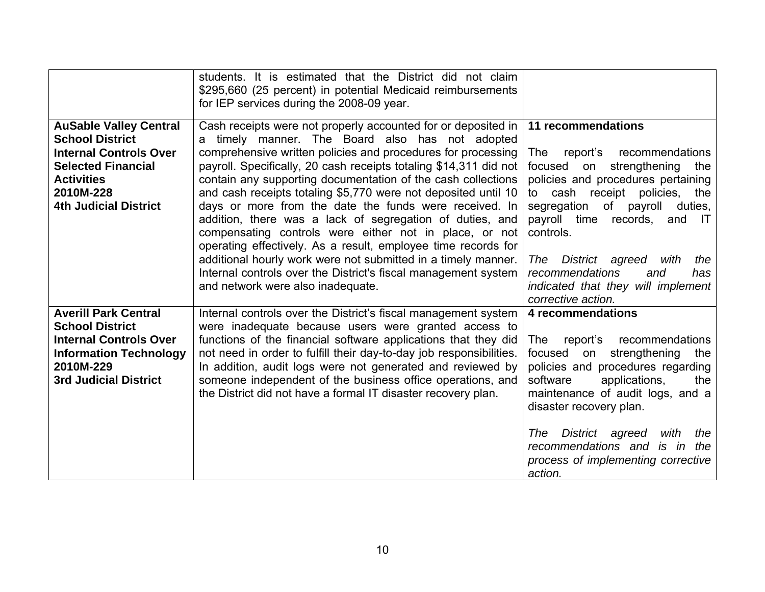|                                                                                                                                                                                         | students. It is estimated that the District did not claim<br>\$295,660 (25 percent) in potential Medicaid reimbursements<br>for IEP services during the 2008-09 year.                                                                                                                                                                                                                                                                                                                                                                                                                                                                                                                                                                                                                                            |                                                                                                                                                                                                                                                                                                                                                                                                        |
|-----------------------------------------------------------------------------------------------------------------------------------------------------------------------------------------|------------------------------------------------------------------------------------------------------------------------------------------------------------------------------------------------------------------------------------------------------------------------------------------------------------------------------------------------------------------------------------------------------------------------------------------------------------------------------------------------------------------------------------------------------------------------------------------------------------------------------------------------------------------------------------------------------------------------------------------------------------------------------------------------------------------|--------------------------------------------------------------------------------------------------------------------------------------------------------------------------------------------------------------------------------------------------------------------------------------------------------------------------------------------------------------------------------------------------------|
| <b>AuSable Valley Central</b><br><b>School District</b><br><b>Internal Controls Over</b><br><b>Selected Financial</b><br><b>Activities</b><br>2010M-228<br><b>4th Judicial District</b> | Cash receipts were not properly accounted for or deposited in<br>a timely manner. The Board also has not adopted<br>comprehensive written policies and procedures for processing<br>payroll. Specifically, 20 cash receipts totaling \$14,311 did not<br>contain any supporting documentation of the cash collections<br>and cash receipts totaling \$5,770 were not deposited until 10<br>days or more from the date the funds were received. In<br>addition, there was a lack of segregation of duties, and<br>compensating controls were either not in place, or not<br>operating effectively. As a result, employee time records for<br>additional hourly work were not submitted in a timely manner.<br>Internal controls over the District's fiscal management system<br>and network were also inadequate. | 11 recommendations<br>report's<br>recommendations<br>The<br>strengthening<br>focused<br>the<br>on<br>policies and procedures pertaining<br>to cash receipt policies,<br>the<br>segregation<br>of payroll duties,<br>payroll time records,<br>and IT<br>controls.<br>District agreed<br>with<br>the<br>The<br>recommendations<br>and<br>has<br>indicated that they will implement<br>corrective action. |
| <b>Averill Park Central</b><br><b>School District</b><br><b>Internal Controls Over</b><br><b>Information Technology</b><br>2010M-229<br><b>3rd Judicial District</b>                    | Internal controls over the District's fiscal management system<br>were inadequate because users were granted access to<br>functions of the financial software applications that they did<br>not need in order to fulfill their day-to-day job responsibilities.<br>In addition, audit logs were not generated and reviewed by<br>someone independent of the business office operations, and<br>the District did not have a formal IT disaster recovery plan.                                                                                                                                                                                                                                                                                                                                                     | 4 recommendations<br>report's recommendations<br>The:<br>strengthening<br>focused<br>on<br>the<br>policies and procedures regarding<br>software<br>applications,<br>the<br>maintenance of audit logs, and a<br>disaster recovery plan.<br>District agreed<br>The<br>with<br>the<br>recommendations and is in the<br>process of implementing corrective<br>action.                                      |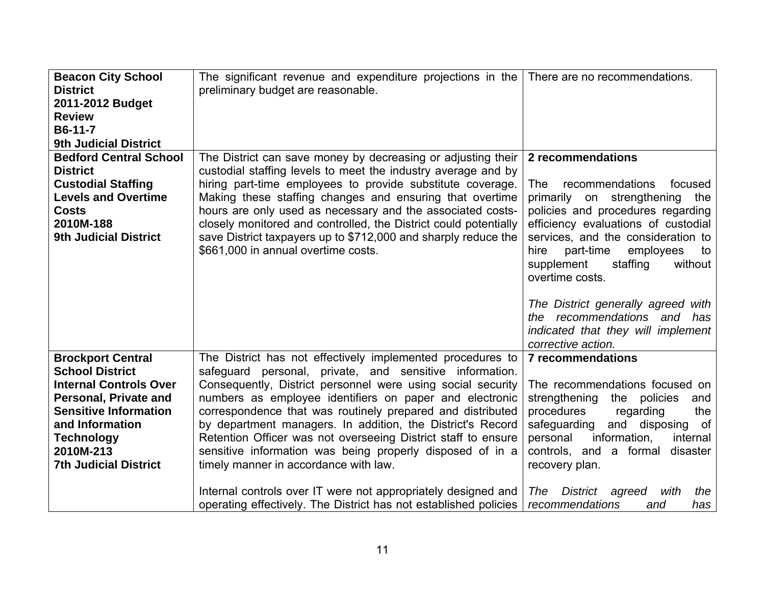| <b>Beacon City School</b><br><b>District</b><br>2011-2012 Budget<br><b>Review</b><br>B6-11-7<br><b>9th Judicial District</b>                                                                                                      | The significant revenue and expenditure projections in the   There are no recommendations.<br>preliminary budget are reasonable.                                                                                                                                                                                                                                                                                                                                                                                                                   |                                                                                                                                                                                                                                                                                                            |
|-----------------------------------------------------------------------------------------------------------------------------------------------------------------------------------------------------------------------------------|----------------------------------------------------------------------------------------------------------------------------------------------------------------------------------------------------------------------------------------------------------------------------------------------------------------------------------------------------------------------------------------------------------------------------------------------------------------------------------------------------------------------------------------------------|------------------------------------------------------------------------------------------------------------------------------------------------------------------------------------------------------------------------------------------------------------------------------------------------------------|
| <b>Bedford Central School</b><br><b>District</b><br><b>Custodial Staffing</b><br><b>Levels and Overtime</b><br><b>Costs</b><br>2010M-188<br><b>9th Judicial District</b>                                                          | The District can save money by decreasing or adjusting their  <br>custodial staffing levels to meet the industry average and by<br>hiring part-time employees to provide substitute coverage.<br>Making these staffing changes and ensuring that overtime<br>hours are only used as necessary and the associated costs-<br>closely monitored and controlled, the District could potentially<br>save District taxpayers up to \$712,000 and sharply reduce the<br>\$661,000 in annual overtime costs.                                               | 2 recommendations<br>recommendations<br>The<br>focused<br>primarily on strengthening the<br>policies and procedures regarding<br>efficiency evaluations of custodial<br>services, and the consideration to<br>part-time<br>hire<br>employees<br>to<br>staffing<br>without<br>supplement<br>overtime costs. |
|                                                                                                                                                                                                                                   |                                                                                                                                                                                                                                                                                                                                                                                                                                                                                                                                                    | The District generally agreed with<br>the recommendations and has<br>indicated that they will implement<br>corrective action.                                                                                                                                                                              |
| <b>Brockport Central</b><br><b>School District</b><br><b>Internal Controls Over</b><br>Personal, Private and<br><b>Sensitive Information</b><br>and Information<br><b>Technology</b><br>2010M-213<br><b>7th Judicial District</b> | The District has not effectively implemented procedures to<br>safeguard personal, private, and sensitive information.<br>Consequently, District personnel were using social security<br>numbers as employee identifiers on paper and electronic<br>correspondence that was routinely prepared and distributed<br>by department managers. In addition, the District's Record<br>Retention Officer was not overseeing District staff to ensure<br>sensitive information was being properly disposed of in a<br>timely manner in accordance with law. | <b>7 recommendations</b><br>The recommendations focused on<br>strengthening<br>the policies<br>and<br>procedures<br>regarding<br>the<br>and disposing of<br>safeguarding<br>information,<br>internal<br>personal<br>controls, and a formal<br>disaster<br>recovery plan.                                   |
|                                                                                                                                                                                                                                   | Internal controls over IT were not appropriately designed and<br>operating effectively. The District has not established policies                                                                                                                                                                                                                                                                                                                                                                                                                  | District agreed<br>The<br>with<br>the<br>recommendations<br>has<br>and                                                                                                                                                                                                                                     |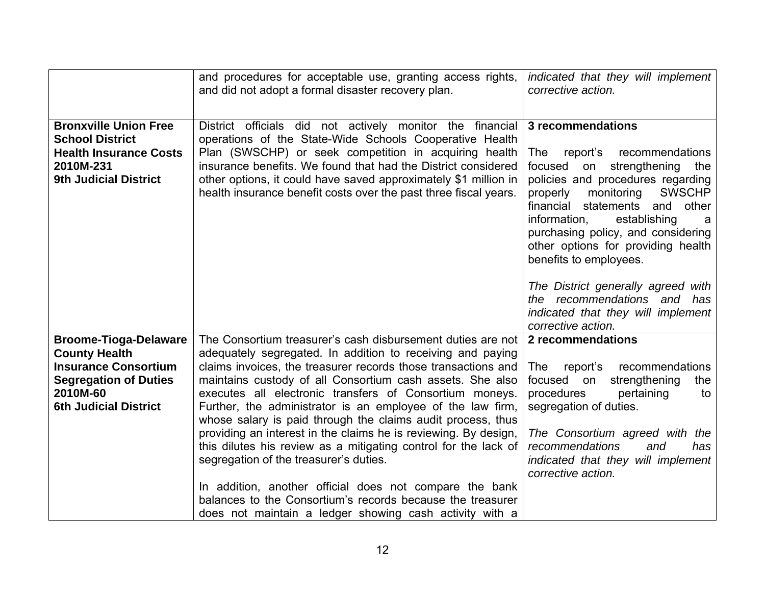|                                                                                                                                                                 | and procedures for acceptable use, granting access rights,<br>and did not adopt a formal disaster recovery plan.                                                                                                                                                                                                                                                                                                                                | indicated that they will implement<br>corrective action.                                                                                                                                                                                                                                                                                                         |
|-----------------------------------------------------------------------------------------------------------------------------------------------------------------|-------------------------------------------------------------------------------------------------------------------------------------------------------------------------------------------------------------------------------------------------------------------------------------------------------------------------------------------------------------------------------------------------------------------------------------------------|------------------------------------------------------------------------------------------------------------------------------------------------------------------------------------------------------------------------------------------------------------------------------------------------------------------------------------------------------------------|
|                                                                                                                                                                 |                                                                                                                                                                                                                                                                                                                                                                                                                                                 |                                                                                                                                                                                                                                                                                                                                                                  |
| <b>Bronxville Union Free</b><br><b>School District</b><br><b>Health Insurance Costs</b><br>2010M-231<br><b>9th Judicial District</b>                            | District officials did not actively monitor the financial<br>operations of the State-Wide Schools Cooperative Health<br>Plan (SWSCHP) or seek competition in acquiring health<br>insurance benefits. We found that had the District considered<br>other options, it could have saved approximately \$1 million in<br>health insurance benefit costs over the past three fiscal years.                                                           | 3 recommendations<br>The<br>report's recommendations<br>strengthening<br>focused<br>on<br>the<br>policies and procedures regarding<br><b>SWSCHP</b><br>monitoring<br>properly<br>financial<br>statements and<br>other<br>information,<br>establishing<br>a<br>purchasing policy, and considering<br>other options for providing health<br>benefits to employees. |
|                                                                                                                                                                 |                                                                                                                                                                                                                                                                                                                                                                                                                                                 | The District generally agreed with<br>the recommendations and has<br>indicated that they will implement<br>corrective action.                                                                                                                                                                                                                                    |
| <b>Broome-Tioga-Delaware</b><br><b>County Health</b><br><b>Insurance Consortium</b><br><b>Segregation of Duties</b><br>2010M-60<br><b>6th Judicial District</b> | The Consortium treasurer's cash disbursement duties are not<br>adequately segregated. In addition to receiving and paying<br>claims invoices, the treasurer records those transactions and<br>maintains custody of all Consortium cash assets. She also<br>executes all electronic transfers of Consortium moneys.<br>Further, the administrator is an employee of the law firm,<br>whose salary is paid through the claims audit process, thus | 2 recommendations<br>The<br>report's<br>recommendations<br>strengthening<br>focused on<br>the<br>procedures<br>pertaining<br>to<br>segregation of duties.                                                                                                                                                                                                        |
|                                                                                                                                                                 | providing an interest in the claims he is reviewing. By design,<br>this dilutes his review as a mitigating control for the lack of<br>segregation of the treasurer's duties.<br>In addition, another official does not compare the bank<br>balances to the Consortium's records because the treasurer<br>does not maintain a ledger showing cash activity with a                                                                                | The Consortium agreed with the<br>recommendations<br>and<br>has<br>indicated that they will implement<br>corrective action.                                                                                                                                                                                                                                      |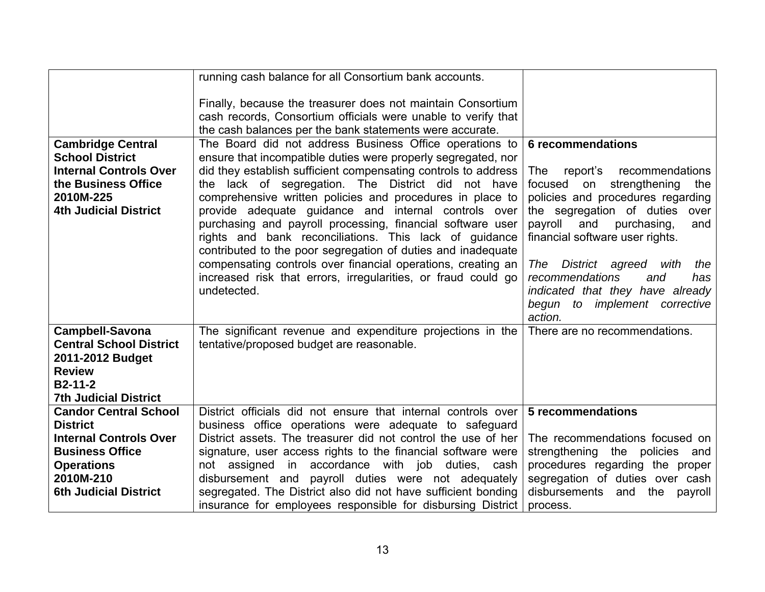|                                                                                                                                                                              | running cash balance for all Consortium bank accounts.                                                                                                                                                                                                                                                                                                                                                                                                                                                                                                                                                                                                                                                        |                                                                                                                                                                                                                                                                                                                                                                                                                     |
|------------------------------------------------------------------------------------------------------------------------------------------------------------------------------|---------------------------------------------------------------------------------------------------------------------------------------------------------------------------------------------------------------------------------------------------------------------------------------------------------------------------------------------------------------------------------------------------------------------------------------------------------------------------------------------------------------------------------------------------------------------------------------------------------------------------------------------------------------------------------------------------------------|---------------------------------------------------------------------------------------------------------------------------------------------------------------------------------------------------------------------------------------------------------------------------------------------------------------------------------------------------------------------------------------------------------------------|
|                                                                                                                                                                              | Finally, because the treasurer does not maintain Consortium<br>cash records, Consortium officials were unable to verify that<br>the cash balances per the bank statements were accurate.                                                                                                                                                                                                                                                                                                                                                                                                                                                                                                                      |                                                                                                                                                                                                                                                                                                                                                                                                                     |
| <b>Cambridge Central</b><br><b>School District</b><br><b>Internal Controls Over</b><br>the Business Office<br>2010M-225<br><b>4th Judicial District</b>                      | The Board did not address Business Office operations to<br>ensure that incompatible duties were properly segregated, nor<br>did they establish sufficient compensating controls to address<br>the lack of segregation. The District did not have<br>comprehensive written policies and procedures in place to<br>provide adequate guidance and internal controls over<br>purchasing and payroll processing, financial software user<br>rights and bank reconciliations. This lack of guidance<br>contributed to the poor segregation of duties and inadequate<br>compensating controls over financial operations, creating an<br>increased risk that errors, irregularities, or fraud could go<br>undetected. | <b>6 recommendations</b><br>The<br>report's<br>recommendations<br>strengthening<br>focused on<br>the<br>policies and procedures regarding<br>the segregation of duties<br>over<br>payroll<br>and<br>purchasing,<br>and<br>financial software user rights.<br>The<br>District agreed<br>with<br>the<br>recommendations<br>and<br>has<br>indicated that they have already<br>begun to implement corrective<br>action. |
| <b>Campbell-Savona</b><br><b>Central School District</b><br>2011-2012 Budget<br><b>Review</b><br>$B2-11-2$<br><b>7th Judicial District</b>                                   | The significant revenue and expenditure projections in the<br>tentative/proposed budget are reasonable.                                                                                                                                                                                                                                                                                                                                                                                                                                                                                                                                                                                                       | There are no recommendations.                                                                                                                                                                                                                                                                                                                                                                                       |
| <b>Candor Central School</b><br><b>District</b><br><b>Internal Controls Over</b><br><b>Business Office</b><br><b>Operations</b><br>2010M-210<br><b>6th Judicial District</b> | District officials did not ensure that internal controls over<br>business office operations were adequate to safeguard<br>District assets. The treasurer did not control the use of her<br>signature, user access rights to the financial software were<br>in accordance with job<br>duties, cash<br>not assigned<br>disbursement and payroll duties were not adequately<br>segregated. The District also did not have sufficient bonding<br>insurance for employees responsible for disbursing District                                                                                                                                                                                                      | 5 recommendations<br>The recommendations focused on<br>strengthening<br>the policies<br>and<br>procedures regarding the proper<br>segregation of duties over cash<br>disbursements<br>the<br>and<br>payroll<br>process.                                                                                                                                                                                             |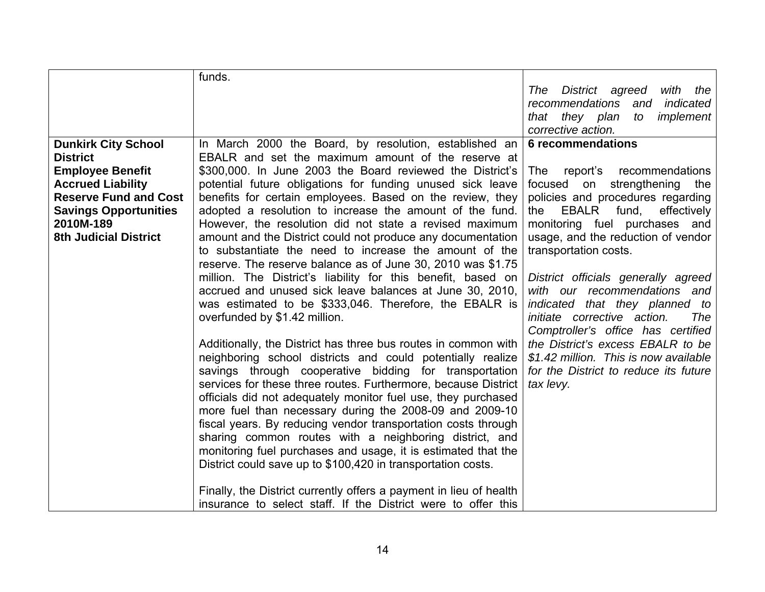|                                                                                                                                                                                                                   | funds.                                                                                                                                                                                                                                                                                                                                                                                                                                                                                                                                                                                                                                                                                                                                                                                                                                                                                                                                                                                                                                                                                                                                                                                                                                                                                                                                                                                                                                                                                         |                                                                                                                                                                                                                                                                                                                                                                                                                                                                                                                                                                                            |
|-------------------------------------------------------------------------------------------------------------------------------------------------------------------------------------------------------------------|------------------------------------------------------------------------------------------------------------------------------------------------------------------------------------------------------------------------------------------------------------------------------------------------------------------------------------------------------------------------------------------------------------------------------------------------------------------------------------------------------------------------------------------------------------------------------------------------------------------------------------------------------------------------------------------------------------------------------------------------------------------------------------------------------------------------------------------------------------------------------------------------------------------------------------------------------------------------------------------------------------------------------------------------------------------------------------------------------------------------------------------------------------------------------------------------------------------------------------------------------------------------------------------------------------------------------------------------------------------------------------------------------------------------------------------------------------------------------------------------|--------------------------------------------------------------------------------------------------------------------------------------------------------------------------------------------------------------------------------------------------------------------------------------------------------------------------------------------------------------------------------------------------------------------------------------------------------------------------------------------------------------------------------------------------------------------------------------------|
|                                                                                                                                                                                                                   |                                                                                                                                                                                                                                                                                                                                                                                                                                                                                                                                                                                                                                                                                                                                                                                                                                                                                                                                                                                                                                                                                                                                                                                                                                                                                                                                                                                                                                                                                                | District agreed<br>with the<br>The<br>recommendations<br>indicated<br>and                                                                                                                                                                                                                                                                                                                                                                                                                                                                                                                  |
|                                                                                                                                                                                                                   |                                                                                                                                                                                                                                                                                                                                                                                                                                                                                                                                                                                                                                                                                                                                                                                                                                                                                                                                                                                                                                                                                                                                                                                                                                                                                                                                                                                                                                                                                                | that they plan<br>implement<br>to                                                                                                                                                                                                                                                                                                                                                                                                                                                                                                                                                          |
|                                                                                                                                                                                                                   |                                                                                                                                                                                                                                                                                                                                                                                                                                                                                                                                                                                                                                                                                                                                                                                                                                                                                                                                                                                                                                                                                                                                                                                                                                                                                                                                                                                                                                                                                                | corrective action.                                                                                                                                                                                                                                                                                                                                                                                                                                                                                                                                                                         |
| <b>Dunkirk City School</b><br><b>District</b><br><b>Employee Benefit</b><br><b>Accrued Liability</b><br><b>Reserve Fund and Cost</b><br><b>Savings Opportunities</b><br>2010M-189<br><b>8th Judicial District</b> | In March 2000 the Board, by resolution, established an<br>EBALR and set the maximum amount of the reserve at<br>\$300,000. In June 2003 the Board reviewed the District's<br>potential future obligations for funding unused sick leave<br>benefits for certain employees. Based on the review, they<br>adopted a resolution to increase the amount of the fund.<br>However, the resolution did not state a revised maximum<br>amount and the District could not produce any documentation<br>to substantiate the need to increase the amount of the<br>reserve. The reserve balance as of June 30, 2010 was \$1.75<br>million. The District's liability for this benefit, based on<br>accrued and unused sick leave balances at June 30, 2010,<br>was estimated to be \$333,046. Therefore, the EBALR is<br>overfunded by \$1.42 million.<br>Additionally, the District has three bus routes in common with<br>neighboring school districts and could potentially realize<br>savings through cooperative bidding for transportation<br>services for these three routes. Furthermore, because District<br>officials did not adequately monitor fuel use, they purchased<br>more fuel than necessary during the 2008-09 and 2009-10<br>fiscal years. By reducing vendor transportation costs through<br>sharing common routes with a neighboring district, and<br>monitoring fuel purchases and usage, it is estimated that the<br>District could save up to \$100,420 in transportation costs. | 6 recommendations<br>report's recommendations<br>The<br>focused on strengthening the<br>policies and procedures regarding<br>EBALR<br>fund,<br>effectively<br>the<br>monitoring fuel purchases and<br>usage, and the reduction of vendor<br>transportation costs.<br>District officials generally agreed<br>with our recommendations and<br>indicated that they planned to<br>initiate corrective action.<br>The<br>Comptroller's office has certified<br>the District's excess EBALR to be<br>\$1.42 million. This is now available<br>for the District to reduce its future<br>tax levy. |
|                                                                                                                                                                                                                   | Finally, the District currently offers a payment in lieu of health<br>insurance to select staff. If the District were to offer this                                                                                                                                                                                                                                                                                                                                                                                                                                                                                                                                                                                                                                                                                                                                                                                                                                                                                                                                                                                                                                                                                                                                                                                                                                                                                                                                                            |                                                                                                                                                                                                                                                                                                                                                                                                                                                                                                                                                                                            |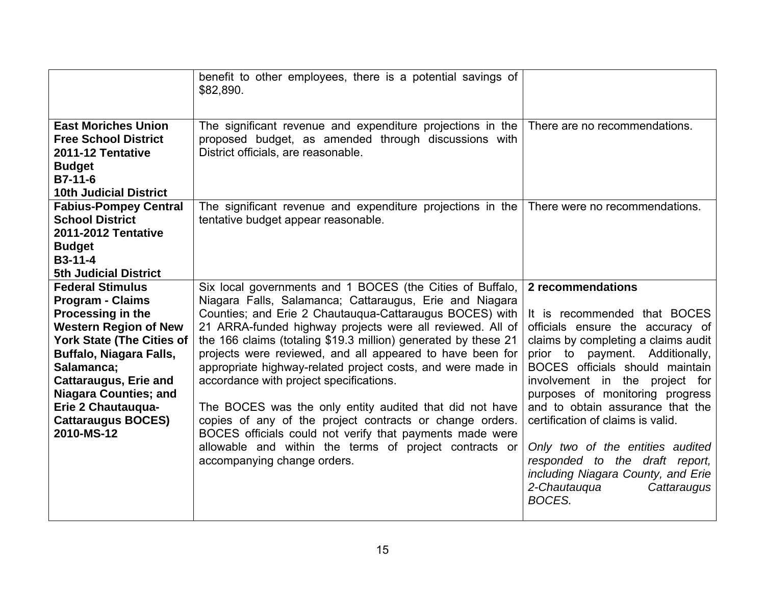| <b>East Moriches Union</b><br><b>Free School District</b>                                                                                                                                                                                                                                                                    | benefit to other employees, there is a potential savings of<br>\$82,890.<br>The significant revenue and expenditure projections in the<br>proposed budget, as amended through discussions with                                                                                                                                                                                                                                                                                                                                                                                                                                                                                                                                                                    | There are no recommendations.                                                                                                                                                                                                                                                                                                                                                                                                                                                                         |
|------------------------------------------------------------------------------------------------------------------------------------------------------------------------------------------------------------------------------------------------------------------------------------------------------------------------------|-------------------------------------------------------------------------------------------------------------------------------------------------------------------------------------------------------------------------------------------------------------------------------------------------------------------------------------------------------------------------------------------------------------------------------------------------------------------------------------------------------------------------------------------------------------------------------------------------------------------------------------------------------------------------------------------------------------------------------------------------------------------|-------------------------------------------------------------------------------------------------------------------------------------------------------------------------------------------------------------------------------------------------------------------------------------------------------------------------------------------------------------------------------------------------------------------------------------------------------------------------------------------------------|
| 2011-12 Tentative<br><b>Budget</b><br>$B7-11-6$<br><b>10th Judicial District</b>                                                                                                                                                                                                                                             | District officials, are reasonable.                                                                                                                                                                                                                                                                                                                                                                                                                                                                                                                                                                                                                                                                                                                               |                                                                                                                                                                                                                                                                                                                                                                                                                                                                                                       |
| <b>Fabius-Pompey Central</b><br><b>School District</b><br><b>2011-2012 Tentative</b><br><b>Budget</b><br>$B3-11-4$<br><b>5th Judicial District</b>                                                                                                                                                                           | The significant revenue and expenditure projections in the<br>tentative budget appear reasonable.                                                                                                                                                                                                                                                                                                                                                                                                                                                                                                                                                                                                                                                                 | There were no recommendations.                                                                                                                                                                                                                                                                                                                                                                                                                                                                        |
| <b>Federal Stimulus</b><br><b>Program - Claims</b><br>Processing in the<br><b>Western Region of New</b><br><b>York State (The Cities of</b><br><b>Buffalo, Niagara Falls,</b><br>Salamanca;<br><b>Cattaraugus, Erie and</b><br><b>Niagara Counties; and</b><br>Erie 2 Chautauqua-<br><b>Cattaraugus BOCES)</b><br>2010-MS-12 | Six local governments and 1 BOCES (the Cities of Buffalo,<br>Niagara Falls, Salamanca; Cattaraugus, Erie and Niagara<br>Counties; and Erie 2 Chautaugua-Cattaraugus BOCES) with<br>21 ARRA-funded highway projects were all reviewed. All of<br>the 166 claims (totaling \$19.3 million) generated by these 21<br>projects were reviewed, and all appeared to have been for<br>appropriate highway-related project costs, and were made in<br>accordance with project specifications.<br>The BOCES was the only entity audited that did not have<br>copies of any of the project contracts or change orders.<br>BOCES officials could not verify that payments made were<br>allowable and within the terms of project contracts or<br>accompanying change orders. | 2 recommendations<br>It is recommended that BOCES<br>officials ensure the accuracy of<br>claims by completing a claims audit<br>prior to payment. Additionally,<br>BOCES officials should maintain<br>involvement in the project for<br>purposes of monitoring progress<br>and to obtain assurance that the<br>certification of claims is valid.<br>Only two of the entities audited<br>responded to the draft report,<br>including Niagara County, and Erie<br>2-Chautauqua<br>Cattaraugus<br>BOCES. |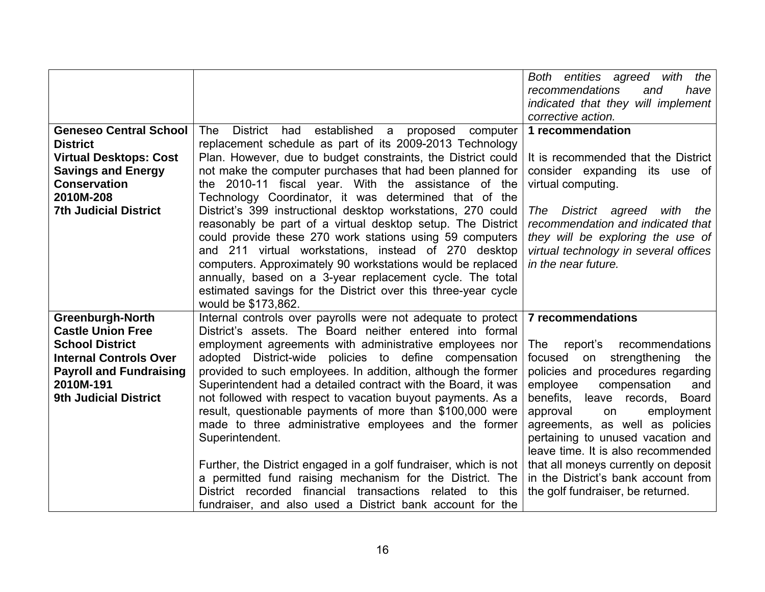|                                |                                                                                                                          | Both entities agreed with the            |
|--------------------------------|--------------------------------------------------------------------------------------------------------------------------|------------------------------------------|
|                                |                                                                                                                          | recommendations<br>and<br>have           |
|                                |                                                                                                                          | indicated that they will implement       |
|                                |                                                                                                                          | corrective action.                       |
| <b>Geneseo Central School</b>  | District had established<br>proposed computer<br>The<br>a                                                                | 1 recommendation                         |
| <b>District</b>                | replacement schedule as part of its 2009-2013 Technology                                                                 |                                          |
| <b>Virtual Desktops: Cost</b>  | Plan. However, due to budget constraints, the District could                                                             | It is recommended that the District      |
| <b>Savings and Energy</b>      | not make the computer purchases that had been planned for                                                                | consider expanding its use of            |
| <b>Conservation</b>            | the 2010-11 fiscal year. With the assistance of the                                                                      | virtual computing.                       |
| 2010M-208                      | Technology Coordinator, it was determined that of the                                                                    |                                          |
| <b>7th Judicial District</b>   | District's 399 instructional desktop workstations, 270 could                                                             | District agreed<br>with<br>The<br>the    |
|                                | reasonably be part of a virtual desktop setup. The District                                                              | recommendation and indicated that        |
|                                | could provide these 270 work stations using 59 computers                                                                 | they will be exploring the use of        |
|                                | and 211 virtual workstations, instead of 270 desktop                                                                     | virtual technology in several offices    |
|                                | computers. Approximately 90 workstations would be replaced                                                               | in the near future.                      |
|                                | annually, based on a 3-year replacement cycle. The total                                                                 |                                          |
|                                | estimated savings for the District over this three-year cycle                                                            |                                          |
|                                | would be \$173,862.                                                                                                      |                                          |
| <b>Greenburgh-North</b>        | Internal controls over payrolls were not adequate to protect                                                             | <b>7 recommendations</b>                 |
| <b>Castle Union Free</b>       | District's assets. The Board neither entered into formal                                                                 |                                          |
| <b>School District</b>         | employment agreements with administrative employees nor                                                                  | report's recommendations<br>The          |
| <b>Internal Controls Over</b>  | adopted District-wide policies to define compensation                                                                    | focused<br>strengthening<br>the<br>on    |
| <b>Payroll and Fundraising</b> | provided to such employees. In addition, although the former                                                             | policies and procedures regarding        |
| 2010M-191                      | Superintendent had a detailed contract with the Board, it was                                                            | employee<br>compensation<br>and          |
| <b>9th Judicial District</b>   | not followed with respect to vacation buyout payments. As a                                                              | benefits, leave records,<br><b>Board</b> |
|                                | result, questionable payments of more than \$100,000 were                                                                | approval<br>employment<br>on             |
|                                | made to three administrative employees and the former                                                                    | agreements, as well as policies          |
|                                | Superintendent.                                                                                                          | pertaining to unused vacation and        |
|                                |                                                                                                                          | leave time. It is also recommended       |
|                                | Further, the District engaged in a golf fundraiser, which is not                                                         | that all moneys currently on deposit     |
|                                |                                                                                                                          |                                          |
|                                |                                                                                                                          |                                          |
|                                | a permitted fund raising mechanism for the District. The                                                                 | in the District's bank account from      |
|                                | District recorded financial transactions related to<br>this<br>fundraiser, and also used a District bank account for the | the golf fundraiser, be returned.        |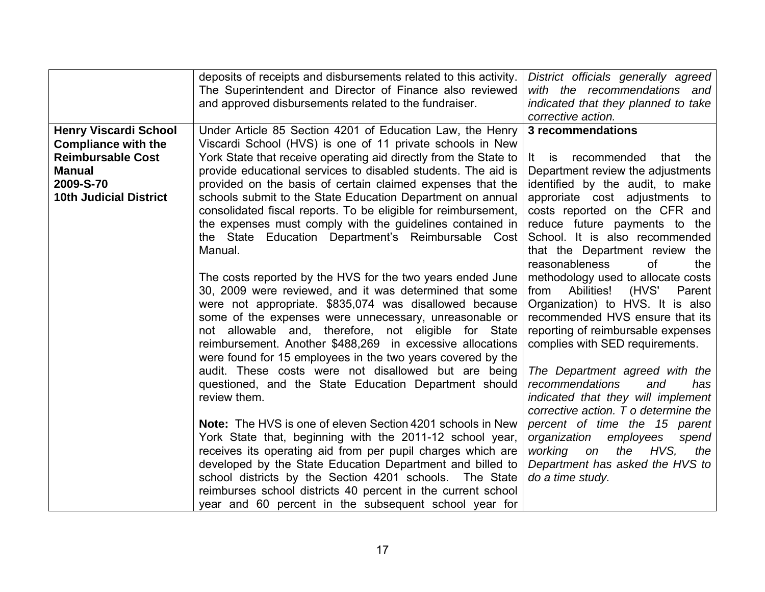|                               | deposits of receipts and disbursements related to this activity.  | District officials generally agreed   |
|-------------------------------|-------------------------------------------------------------------|---------------------------------------|
|                               | The Superintendent and Director of Finance also reviewed          | with the recommendations and          |
|                               | and approved disbursements related to the fundraiser.             | indicated that they planned to take   |
|                               |                                                                   | corrective action.                    |
| <b>Henry Viscardi School</b>  | Under Article 85 Section 4201 of Education Law, the Henry         | 3 recommendations                     |
| <b>Compliance with the</b>    | Viscardi School (HVS) is one of 11 private schools in New         |                                       |
| <b>Reimbursable Cost</b>      | York State that receive operating aid directly from the State to  | recommended<br>that the<br>It.<br>is. |
| <b>Manual</b>                 |                                                                   |                                       |
|                               | provide educational services to disabled students. The aid is     | Department review the adjustments     |
| 2009-S-70                     | provided on the basis of certain claimed expenses that the        | identified by the audit, to make      |
| <b>10th Judicial District</b> | schools submit to the State Education Department on annual        | approriate cost adjustments to        |
|                               | consolidated fiscal reports. To be eligible for reimbursement,    | costs reported on the CFR and         |
|                               | the expenses must comply with the guidelines contained in         | reduce future payments to the         |
|                               | the State Education Department's Reimbursable Cost                | School. It is also recommended        |
|                               | Manual.                                                           | that the Department review the        |
|                               |                                                                   | reasonableness<br>0f<br>the           |
|                               | The costs reported by the HVS for the two years ended June        | methodology used to allocate costs    |
|                               | 30, 2009 were reviewed, and it was determined that some           | Abilities!<br>(HVS'<br>from<br>Parent |
|                               | were not appropriate. \$835,074 was disallowed because            | Organization) to HVS. It is also      |
|                               | some of the expenses were unnecessary, unreasonable or            | recommended HVS ensure that its       |
|                               | not allowable and, therefore, not eligible for State              | reporting of reimbursable expenses    |
|                               | reimbursement. Another \$488,269 in excessive allocations         | complies with SED requirements.       |
|                               | were found for 15 employees in the two years covered by the       |                                       |
|                               | audit. These costs were not disallowed but are being              | The Department agreed with the        |
|                               | questioned, and the State Education Department should             | recommendations<br>and<br>has         |
|                               | review them.                                                      | indicated that they will implement    |
|                               |                                                                   | corrective action. T o determine the  |
|                               | <b>Note:</b> The HVS is one of eleven Section 4201 schools in New | percent of time the 15 parent         |
|                               | York State that, beginning with the 2011-12 school year,          | organization<br>employees<br>spend    |
|                               | receives its operating aid from per pupil charges which are       | working on<br>the HVS,<br>the         |
|                               | developed by the State Education Department and billed to         | Department has asked the HVS to       |
|                               | school districts by the Section 4201 schools. The State           | do a time study.                      |
|                               | reimburses school districts 40 percent in the current school      |                                       |
|                               | year and 60 percent in the subsequent school year for             |                                       |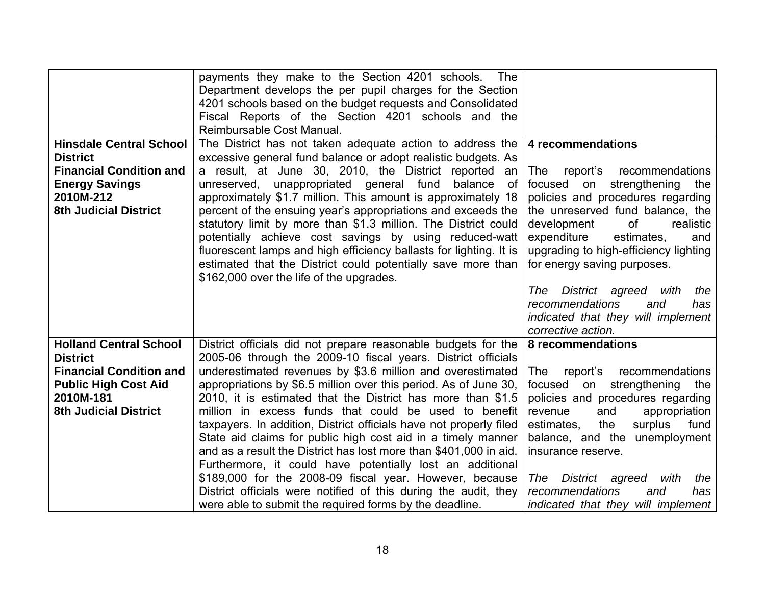|                                                                                                                                                           | payments they make to the Section 4201 schools.<br>The<br>Department develops the per pupil charges for the Section<br>4201 schools based on the budget requests and Consolidated<br>Fiscal Reports of the Section 4201 schools and the                                                                                                                                                                                                                                                                                                                                                                                                             |                                                                                                                                                                                                                                                                                                                |
|-----------------------------------------------------------------------------------------------------------------------------------------------------------|-----------------------------------------------------------------------------------------------------------------------------------------------------------------------------------------------------------------------------------------------------------------------------------------------------------------------------------------------------------------------------------------------------------------------------------------------------------------------------------------------------------------------------------------------------------------------------------------------------------------------------------------------------|----------------------------------------------------------------------------------------------------------------------------------------------------------------------------------------------------------------------------------------------------------------------------------------------------------------|
|                                                                                                                                                           | Reimbursable Cost Manual.                                                                                                                                                                                                                                                                                                                                                                                                                                                                                                                                                                                                                           |                                                                                                                                                                                                                                                                                                                |
| <b>Hinsdale Central School</b><br><b>District</b><br><b>Financial Condition and</b><br><b>Energy Savings</b><br>2010M-212<br><b>8th Judicial District</b> | The District has not taken adequate action to address the<br>excessive general fund balance or adopt realistic budgets. As<br>a result, at June 30, 2010, the District reported<br>an<br>unreserved, unappropriated general fund<br>balance<br>of<br>approximately \$1.7 million. This amount is approximately 18<br>percent of the ensuing year's appropriations and exceeds the<br>statutory limit by more than \$1.3 million. The District could<br>potentially achieve cost savings by using reduced-watt<br>fluorescent lamps and high efficiency ballasts for lighting. It is<br>estimated that the District could potentially save more than | 4 recommendations<br>The<br>report's<br>recommendations<br>focused on strengthening the<br>policies and procedures regarding<br>the unreserved fund balance, the<br>development<br>οf<br>realistic<br>expenditure<br>estimates,<br>and<br>upgrading to high-efficiency lighting<br>for energy saving purposes. |
|                                                                                                                                                           | \$162,000 over the life of the upgrades.                                                                                                                                                                                                                                                                                                                                                                                                                                                                                                                                                                                                            | The<br>District agreed<br>with<br>the<br>recommendations<br>and<br>has<br>indicated that they will implement<br>corrective action.                                                                                                                                                                             |
| <b>Holland Central School</b>                                                                                                                             | District officials did not prepare reasonable budgets for the                                                                                                                                                                                                                                                                                                                                                                                                                                                                                                                                                                                       | 8 recommendations                                                                                                                                                                                                                                                                                              |
| <b>District</b>                                                                                                                                           | 2005-06 through the 2009-10 fiscal years. District officials                                                                                                                                                                                                                                                                                                                                                                                                                                                                                                                                                                                        |                                                                                                                                                                                                                                                                                                                |
| <b>Financial Condition and</b>                                                                                                                            | underestimated revenues by \$3.6 million and overestimated                                                                                                                                                                                                                                                                                                                                                                                                                                                                                                                                                                                          | The<br>report's recommendations                                                                                                                                                                                                                                                                                |
| <b>Public High Cost Aid</b><br>2010M-181                                                                                                                  | appropriations by \$6.5 million over this period. As of June 30,<br>2010, it is estimated that the District has more than \$1.5                                                                                                                                                                                                                                                                                                                                                                                                                                                                                                                     | focused on strengthening<br>the<br>policies and procedures regarding                                                                                                                                                                                                                                           |
| <b>8th Judicial District</b>                                                                                                                              | million in excess funds that could be used to benefit                                                                                                                                                                                                                                                                                                                                                                                                                                                                                                                                                                                               | and<br>appropriation<br>revenue                                                                                                                                                                                                                                                                                |
|                                                                                                                                                           | taxpayers. In addition, District officials have not properly filed                                                                                                                                                                                                                                                                                                                                                                                                                                                                                                                                                                                  | fund<br>estimates,<br>surplus<br>the                                                                                                                                                                                                                                                                           |
|                                                                                                                                                           | State aid claims for public high cost aid in a timely manner                                                                                                                                                                                                                                                                                                                                                                                                                                                                                                                                                                                        | balance, and the unemployment                                                                                                                                                                                                                                                                                  |
|                                                                                                                                                           | and as a result the District has lost more than \$401,000 in aid.                                                                                                                                                                                                                                                                                                                                                                                                                                                                                                                                                                                   | insurance reserve.                                                                                                                                                                                                                                                                                             |
|                                                                                                                                                           | Furthermore, it could have potentially lost an additional                                                                                                                                                                                                                                                                                                                                                                                                                                                                                                                                                                                           |                                                                                                                                                                                                                                                                                                                |
|                                                                                                                                                           | \$189,000 for the 2008-09 fiscal year. However, because<br>District officials were notified of this during the audit, they                                                                                                                                                                                                                                                                                                                                                                                                                                                                                                                          | District agreed<br>with<br>the<br>The<br>recommendations<br>has<br>and                                                                                                                                                                                                                                         |
|                                                                                                                                                           | were able to submit the required forms by the deadline.                                                                                                                                                                                                                                                                                                                                                                                                                                                                                                                                                                                             | indicated that they will implement                                                                                                                                                                                                                                                                             |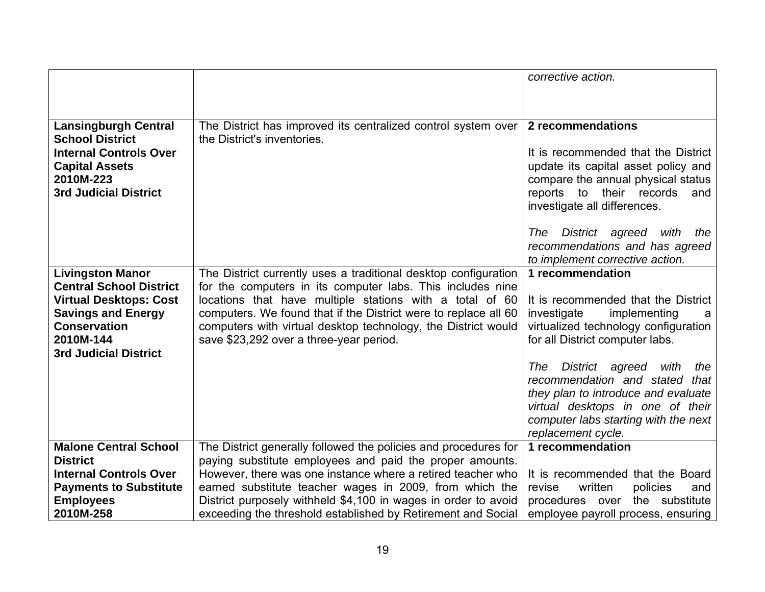|                                                            |                                                                                                                             | corrective action.                                                         |
|------------------------------------------------------------|-----------------------------------------------------------------------------------------------------------------------------|----------------------------------------------------------------------------|
|                                                            |                                                                                                                             |                                                                            |
|                                                            |                                                                                                                             |                                                                            |
| <b>Lansingburgh Central</b>                                | The District has improved its centralized control system over                                                               | 2 recommendations                                                          |
| <b>School District</b>                                     | the District's inventories.                                                                                                 |                                                                            |
| <b>Internal Controls Over</b><br><b>Capital Assets</b>     |                                                                                                                             | It is recommended that the District<br>update its capital asset policy and |
| 2010M-223                                                  |                                                                                                                             | compare the annual physical status                                         |
| <b>3rd Judicial District</b>                               |                                                                                                                             | reports to their records<br>and                                            |
|                                                            |                                                                                                                             | investigate all differences.                                               |
|                                                            |                                                                                                                             |                                                                            |
|                                                            |                                                                                                                             | District agreed with<br>The<br>the<br>recommendations and has agreed       |
|                                                            |                                                                                                                             | to implement corrective action.                                            |
| <b>Livingston Manor</b>                                    | The District currently uses a traditional desktop configuration                                                             | 1 recommendation                                                           |
| <b>Central School District</b>                             | for the computers in its computer labs. This includes nine                                                                  |                                                                            |
| <b>Virtual Desktops: Cost</b><br><b>Savings and Energy</b> | locations that have multiple stations with a total of 60<br>computers. We found that if the District were to replace all 60 | It is recommended that the District<br>investigate<br>implementing<br>a    |
| <b>Conservation</b>                                        | computers with virtual desktop technology, the District would                                                               | virtualized technology configuration                                       |
| 2010M-144                                                  | save \$23,292 over a three-year period.                                                                                     | for all District computer labs.                                            |
| <b>3rd Judicial District</b>                               |                                                                                                                             |                                                                            |
|                                                            |                                                                                                                             | District agreed<br>The<br>with<br>the                                      |
|                                                            |                                                                                                                             | recommendation and stated<br>that<br>they plan to introduce and evaluate   |
|                                                            |                                                                                                                             | virtual desktops in one of their                                           |
|                                                            |                                                                                                                             | computer labs starting with the next                                       |
|                                                            |                                                                                                                             | replacement cycle.                                                         |
| <b>Malone Central School</b>                               | The District generally followed the policies and procedures for                                                             | 1 recommendation                                                           |
| <b>District</b><br><b>Internal Controls Over</b>           | paying substitute employees and paid the proper amounts.<br>However, there was one instance where a retired teacher who     | It is recommended that the Board                                           |
| <b>Payments to Substitute</b>                              | earned substitute teacher wages in 2009, from which the                                                                     | written<br>revise<br>policies<br>and                                       |
| <b>Employees</b>                                           | District purposely withheld \$4,100 in wages in order to avoid                                                              | the substitute<br>procedures over                                          |
| 2010M-258                                                  | exceeding the threshold established by Retirement and Social                                                                | employee payroll process, ensuring                                         |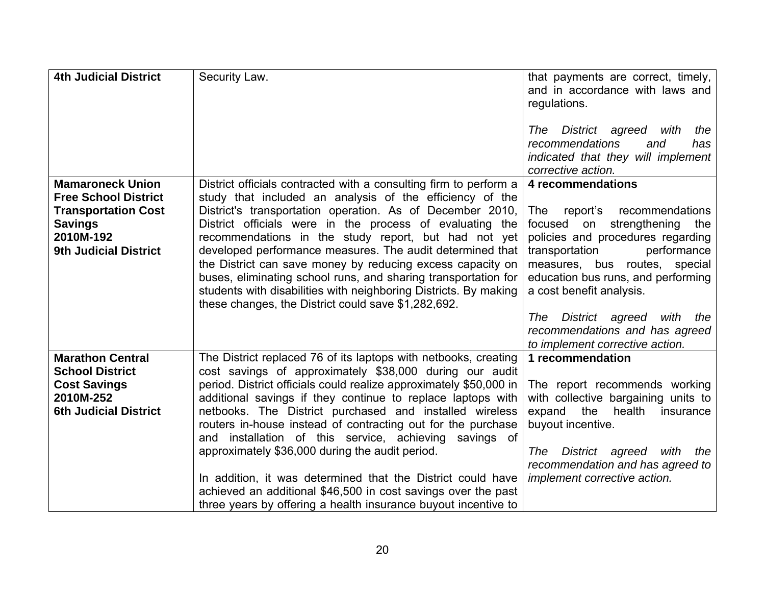| <b>4th Judicial District</b>                                                                                                                        | Security Law.                                                                                                                                                                                                                                                                                                                                                                                                                                                                                                                                                                                                                                                                                             | that payments are correct, timely,<br>and in accordance with laws and<br>regulations.<br>The District agreed with<br>the<br>recommendations<br>and<br>has<br>indicated that they will implement<br>corrective action.                                                                                                                                                                          |
|-----------------------------------------------------------------------------------------------------------------------------------------------------|-----------------------------------------------------------------------------------------------------------------------------------------------------------------------------------------------------------------------------------------------------------------------------------------------------------------------------------------------------------------------------------------------------------------------------------------------------------------------------------------------------------------------------------------------------------------------------------------------------------------------------------------------------------------------------------------------------------|------------------------------------------------------------------------------------------------------------------------------------------------------------------------------------------------------------------------------------------------------------------------------------------------------------------------------------------------------------------------------------------------|
| <b>Mamaroneck Union</b><br><b>Free School District</b><br><b>Transportation Cost</b><br><b>Savings</b><br>2010M-192<br><b>9th Judicial District</b> | District officials contracted with a consulting firm to perform a<br>study that included an analysis of the efficiency of the<br>District's transportation operation. As of December 2010,<br>District officials were in the process of evaluating the<br>recommendations in the study report, but had not yet<br>developed performance measures. The audit determined that<br>the District can save money by reducing excess capacity on<br>buses, eliminating school runs, and sharing transportation for<br>students with disabilities with neighboring Districts. By making<br>these changes, the District could save \$1,282,692.                                                                    | 4 recommendations<br>report's<br>recommendations<br><b>The</b><br>strengthening<br>focused<br>on<br>the<br>policies and procedures regarding<br>transportation<br>performance<br>measures, bus routes, special<br>education bus runs, and performing<br>a cost benefit analysis.<br>District agreed<br>The<br>with<br>the<br>recommendations and has agreed<br>to implement corrective action. |
| <b>Marathon Central</b><br><b>School District</b><br><b>Cost Savings</b><br>2010M-252<br><b>6th Judicial District</b>                               | The District replaced 76 of its laptops with netbooks, creating<br>cost savings of approximately \$38,000 during our audit<br>period. District officials could realize approximately \$50,000 in<br>additional savings if they continue to replace laptops with<br>netbooks. The District purchased and installed wireless<br>routers in-house instead of contracting out for the purchase<br>and installation of this service, achieving savings of<br>approximately \$36,000 during the audit period.<br>In addition, it was determined that the District could have<br>achieved an additional \$46,500 in cost savings over the past<br>three years by offering a health insurance buyout incentive to | 1 recommendation<br>The report recommends working<br>with collective bargaining units to<br>expand<br>the<br>health<br>insurance<br>buyout incentive.<br>District agreed<br>The<br>with<br>the<br>recommendation and has agreed to<br>implement corrective action.                                                                                                                             |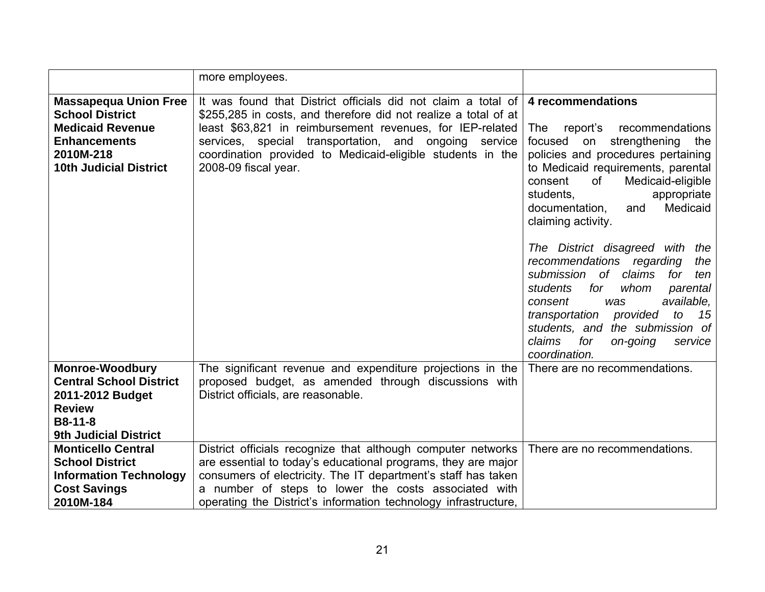|                                                                                                                                                        | more employees.                                                                                                                                                                                                                                                                                                                                    |                                                                                                                                                                                                                                                                                                                                                                                                                                                                                                                                                                                                                                         |
|--------------------------------------------------------------------------------------------------------------------------------------------------------|----------------------------------------------------------------------------------------------------------------------------------------------------------------------------------------------------------------------------------------------------------------------------------------------------------------------------------------------------|-----------------------------------------------------------------------------------------------------------------------------------------------------------------------------------------------------------------------------------------------------------------------------------------------------------------------------------------------------------------------------------------------------------------------------------------------------------------------------------------------------------------------------------------------------------------------------------------------------------------------------------------|
| <b>Massapequa Union Free</b><br><b>School District</b><br><b>Medicaid Revenue</b><br><b>Enhancements</b><br>2010M-218<br><b>10th Judicial District</b> | It was found that District officials did not claim a total of<br>\$255,285 in costs, and therefore did not realize a total of at<br>least \$63,821 in reimbursement revenues, for IEP-related<br>services, special transportation, and<br>ongoing<br>service<br>coordination provided to Medicaid-eligible students in the<br>2008-09 fiscal year. | 4 recommendations<br>report's<br>recommendations<br><b>The</b><br>focused<br>strengthening<br>on<br>the<br>policies and procedures pertaining<br>to Medicaid requirements, parental<br>of<br>consent<br>Medicaid-eligible<br>students,<br>appropriate<br>Medicaid<br>documentation,<br>and<br>claiming activity.<br>The District disagreed with the<br>recommendations regarding<br>the<br>submission of claims<br>for<br>ten<br>students<br>for<br>whom<br>parental<br>available,<br>consent<br>was<br>transportation provided<br>to<br>15<br>students, and the submission of<br>claims<br>for<br>on-going<br>service<br>coordination. |
| <b>Monroe-Woodbury</b><br><b>Central School District</b><br>2011-2012 Budget<br><b>Review</b><br><b>B8-11-8</b><br><b>9th Judicial District</b>        | The significant revenue and expenditure projections in the<br>proposed budget, as amended through discussions with<br>District officials, are reasonable.                                                                                                                                                                                          | There are no recommendations.                                                                                                                                                                                                                                                                                                                                                                                                                                                                                                                                                                                                           |
| <b>Monticello Central</b><br><b>School District</b><br><b>Information Technology</b><br><b>Cost Savings</b><br>2010M-184                               | District officials recognize that although computer networks<br>are essential to today's educational programs, they are major<br>consumers of electricity. The IT department's staff has taken<br>a number of steps to lower the costs associated with<br>operating the District's information technology infrastructure,                          | There are no recommendations.                                                                                                                                                                                                                                                                                                                                                                                                                                                                                                                                                                                                           |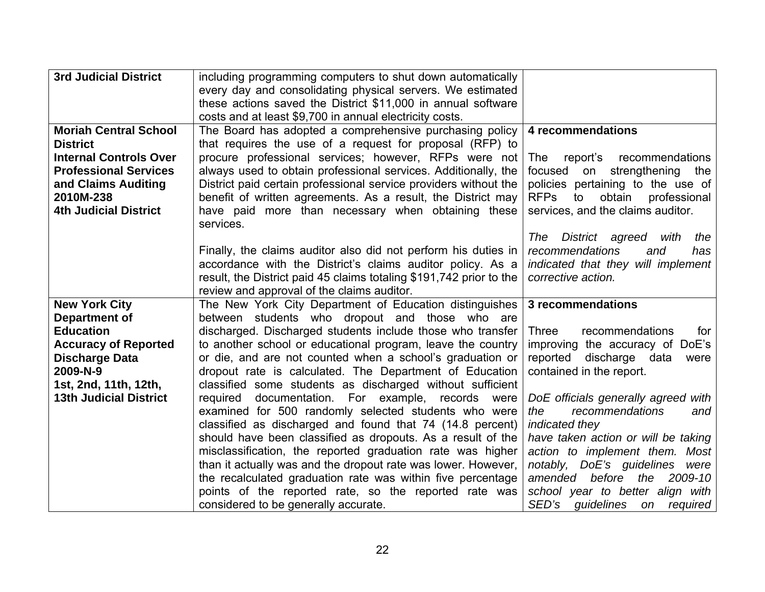| <b>3rd Judicial District</b>  | including programming computers to shut down automatically          |                                             |
|-------------------------------|---------------------------------------------------------------------|---------------------------------------------|
|                               | every day and consolidating physical servers. We estimated          |                                             |
|                               |                                                                     |                                             |
|                               | these actions saved the District \$11,000 in annual software        |                                             |
|                               | costs and at least \$9,700 in annual electricity costs.             |                                             |
| <b>Moriah Central School</b>  | The Board has adopted a comprehensive purchasing policy             | 4 recommendations                           |
| <b>District</b>               | that requires the use of a request for proposal (RFP) to            |                                             |
| <b>Internal Controls Over</b> | procure professional services; however, RFPs were not               | The<br>report's recommendations             |
| <b>Professional Services</b>  | always used to obtain professional services. Additionally, the      | on strengthening<br>focused<br>the          |
| and Claims Auditing           | District paid certain professional service providers without the    | policies pertaining to the use of           |
| 2010M-238                     | benefit of written agreements. As a result, the District may        | to<br>obtain<br><b>RFPs</b><br>professional |
| <b>4th Judicial District</b>  | have paid more than necessary when obtaining these                  | services, and the claims auditor.           |
|                               | services.                                                           |                                             |
|                               |                                                                     | District agreed with<br>The<br>the          |
|                               |                                                                     | recommendations<br>and<br>has               |
|                               | Finally, the claims auditor also did not perform his duties in      |                                             |
|                               | accordance with the District's claims auditor policy. As a          | indicated that they will implement          |
|                               | result, the District paid 45 claims totaling \$191,742 prior to the | corrective action.                          |
|                               | review and approval of the claims auditor.                          |                                             |
| <b>New York City</b>          | The New York City Department of Education distinguishes             | 3 recommendations                           |
| <b>Department of</b>          | between students who dropout and those who are                      |                                             |
| <b>Education</b>              | discharged. Discharged students include those who transfer          | Three<br>recommendations<br>for             |
| <b>Accuracy of Reported</b>   | to another school or educational program, leave the country         | improving the accuracy of DoE's             |
| <b>Discharge Data</b>         | or die, and are not counted when a school's graduation or           | reported discharge data<br>were             |
| 2009-N-9                      | dropout rate is calculated. The Department of Education             | contained in the report.                    |
| 1st, 2nd, 11th, 12th,         | classified some students as discharged without sufficient           |                                             |
| <b>13th Judicial District</b> | documentation. For example, records were<br>required                | DoE officials generally agreed with         |
|                               | examined for 500 randomly selected students who were                | recommendations<br>the<br>and               |
|                               | classified as discharged and found that 74 (14.8 percent)           | indicated they                              |
|                               | should have been classified as dropouts. As a result of the         | have taken action or will be taking         |
|                               | misclassification, the reported graduation rate was higher          | action to implement them. Most              |
|                               | than it actually was and the dropout rate was lower. However,       | notably, DoE's quidelines<br>were           |
|                               | the recalculated graduation rate was within five percentage         | before<br>amended<br>the<br>2009-10         |
|                               | points of the reported rate, so the reported rate was               | school year to better align with            |
|                               |                                                                     |                                             |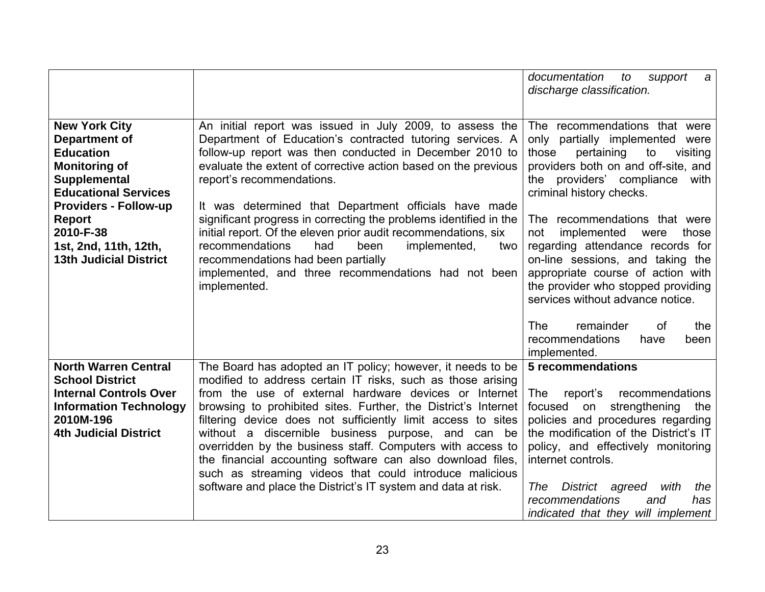|                                                                                                                                                                                                                                                                 |                                                                                                                                                                                                                                                                                                                                                                                                                                                                                                                                                                                                                                                       | documentation<br>support<br>to<br>$\boldsymbol{a}$<br>discharge classification.                                                                                                                                                                                                                                                                                                                                                                                                  |
|-----------------------------------------------------------------------------------------------------------------------------------------------------------------------------------------------------------------------------------------------------------------|-------------------------------------------------------------------------------------------------------------------------------------------------------------------------------------------------------------------------------------------------------------------------------------------------------------------------------------------------------------------------------------------------------------------------------------------------------------------------------------------------------------------------------------------------------------------------------------------------------------------------------------------------------|----------------------------------------------------------------------------------------------------------------------------------------------------------------------------------------------------------------------------------------------------------------------------------------------------------------------------------------------------------------------------------------------------------------------------------------------------------------------------------|
| <b>New York City</b><br><b>Department of</b><br><b>Education</b><br><b>Monitoring of</b><br>Supplemental<br><b>Educational Services</b><br><b>Providers - Follow-up</b><br><b>Report</b><br>2010-F-38<br>1st, 2nd, 11th, 12th,<br><b>13th Judicial District</b> | An initial report was issued in July 2009, to assess the<br>Department of Education's contracted tutoring services. A<br>follow-up report was then conducted in December 2010 to<br>evaluate the extent of corrective action based on the previous<br>report's recommendations.<br>It was determined that Department officials have made<br>significant progress in correcting the problems identified in the<br>initial report. Of the eleven prior audit recommendations, six<br>implemented,<br>recommendations<br>had<br>been<br>two<br>recommendations had been partially<br>implemented, and three recommendations had not been<br>implemented. | The recommendations that were<br>only partially implemented were<br>pertaining<br>those<br>to<br>visiting<br>providers both on and off-site, and<br>the providers' compliance<br>with<br>criminal history checks.<br>The recommendations that were<br>implemented<br>not<br>were<br>those<br>regarding attendance records for<br>on-line sessions, and taking the<br>appropriate course of action with<br>the provider who stopped providing<br>services without advance notice. |
|                                                                                                                                                                                                                                                                 |                                                                                                                                                                                                                                                                                                                                                                                                                                                                                                                                                                                                                                                       | The<br>remainder<br><b>of</b><br>the<br>recommendations<br>have<br>been<br>implemented.                                                                                                                                                                                                                                                                                                                                                                                          |
| <b>North Warren Central</b><br><b>School District</b><br><b>Internal Controls Over</b><br><b>Information Technology</b><br>2010M-196<br><b>4th Judicial District</b>                                                                                            | The Board has adopted an IT policy; however, it needs to be<br>modified to address certain IT risks, such as those arising<br>from the use of external hardware devices or Internet<br>browsing to prohibited sites. Further, the District's Internet<br>filtering device does not sufficiently limit access to sites<br>without a discernible business purpose, and can be<br>overridden by the business staff. Computers with access to<br>the financial accounting software can also download files,<br>such as streaming videos that could introduce malicious<br>software and place the District's IT system and data at risk.                   | 5 recommendations<br>report's<br>recommendations<br><b>The</b><br>strengthening<br>focused<br>on<br>the<br>policies and procedures regarding<br>the modification of the District's IT<br>policy, and effectively monitoring<br>internet controls.<br>The<br>District agreed<br>with<br>the<br>recommendations<br>has<br>and<br>indicated that they will implement                                                                                                                |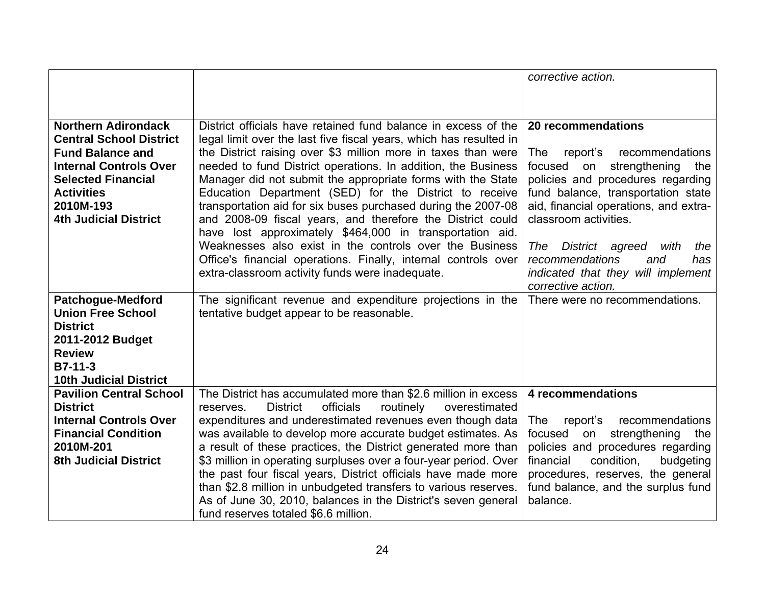|                                                           |                                                                                                                                      | corrective action.                                                      |
|-----------------------------------------------------------|--------------------------------------------------------------------------------------------------------------------------------------|-------------------------------------------------------------------------|
|                                                           |                                                                                                                                      |                                                                         |
|                                                           |                                                                                                                                      |                                                                         |
| <b>Northern Adirondack</b>                                | District officials have retained fund balance in excess of the                                                                       | 20 recommendations                                                      |
| <b>Central School District</b><br><b>Fund Balance and</b> | legal limit over the last five fiscal years, which has resulted in<br>the District raising over \$3 million more in taxes than were  | <b>The</b><br>report's<br>recommendations                               |
| <b>Internal Controls Over</b>                             | needed to fund District operations. In addition, the Business                                                                        | strengthening<br>focused<br>on<br>the                                   |
| <b>Selected Financial</b>                                 | Manager did not submit the appropriate forms with the State                                                                          | policies and procedures regarding                                       |
| <b>Activities</b>                                         | Education Department (SED) for the District to receive                                                                               | fund balance, transportation state                                      |
| 2010M-193<br><b>4th Judicial District</b>                 | transportation aid for six buses purchased during the 2007-08<br>and 2008-09 fiscal years, and therefore the District could          | aid, financial operations, and extra-<br>classroom activities.          |
|                                                           | have lost approximately \$464,000 in transportation aid.                                                                             |                                                                         |
|                                                           | Weaknesses also exist in the controls over the Business                                                                              | District agreed<br>The<br>with<br>the                                   |
|                                                           | Office's financial operations. Finally, internal controls over                                                                       | recommendations<br>and<br>has                                           |
|                                                           | extra-classroom activity funds were inadequate.                                                                                      | indicated that they will implement<br>corrective action.                |
| <b>Patchogue-Medford</b>                                  | The significant revenue and expenditure projections in the                                                                           | There were no recommendations.                                          |
| <b>Union Free School</b>                                  | tentative budget appear to be reasonable.                                                                                            |                                                                         |
| <b>District</b>                                           |                                                                                                                                      |                                                                         |
| 2011-2012 Budget<br><b>Review</b>                         |                                                                                                                                      |                                                                         |
| $B7-11-3$                                                 |                                                                                                                                      |                                                                         |
| <b>10th Judicial District</b>                             |                                                                                                                                      |                                                                         |
| <b>Pavilion Central School</b>                            | The District has accumulated more than \$2.6 million in excess                                                                       | 4 recommendations                                                       |
| <b>District</b><br><b>Internal Controls Over</b>          | <b>District</b><br>officials<br>routinely<br>overestimated<br>reserves.<br>expenditures and underestimated revenues even though data | recommendations<br>report's<br>The                                      |
| <b>Financial Condition</b>                                | was available to develop more accurate budget estimates. As                                                                          | focused<br>strengthening<br>on<br>the                                   |
| 2010M-201                                                 | a result of these practices, the District generated more than                                                                        | policies and procedures regarding                                       |
| <b>8th Judicial District</b>                              | \$3 million in operating surpluses over a four-year period. Over                                                                     | condition,<br>financial<br>budgeting                                    |
|                                                           | the past four fiscal years, District officials have made more<br>than \$2.8 million in unbudgeted transfers to various reserves.     | procedures, reserves, the general<br>fund balance, and the surplus fund |
|                                                           | As of June 30, 2010, balances in the District's seven general                                                                        | balance.                                                                |
|                                                           | fund reserves totaled \$6.6 million.                                                                                                 |                                                                         |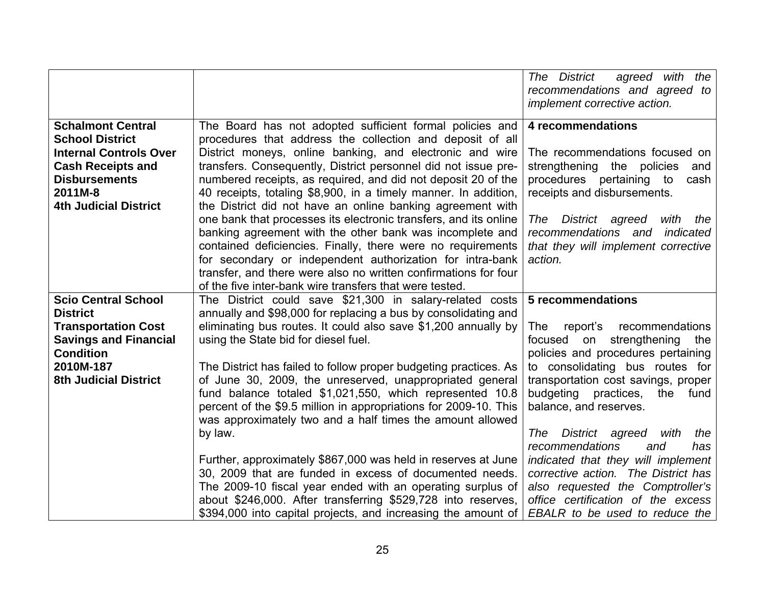|                                                                                                                                                                                    |                                                                                                                                                                                                                                                                                                                                                                                                                                                                                                                                                                                                                                                                                                                                                                                                                                                 | The District<br>agreed with the<br>recommendations and agreed to<br>implement corrective action.                                                                                                                                                                                                                                                                                                                                                                                                           |
|------------------------------------------------------------------------------------------------------------------------------------------------------------------------------------|-------------------------------------------------------------------------------------------------------------------------------------------------------------------------------------------------------------------------------------------------------------------------------------------------------------------------------------------------------------------------------------------------------------------------------------------------------------------------------------------------------------------------------------------------------------------------------------------------------------------------------------------------------------------------------------------------------------------------------------------------------------------------------------------------------------------------------------------------|------------------------------------------------------------------------------------------------------------------------------------------------------------------------------------------------------------------------------------------------------------------------------------------------------------------------------------------------------------------------------------------------------------------------------------------------------------------------------------------------------------|
| <b>Schalmont Central</b><br><b>School District</b><br><b>Internal Controls Over</b><br><b>Cash Receipts and</b><br><b>Disbursements</b><br>2011M-8<br><b>4th Judicial District</b> | The Board has not adopted sufficient formal policies and<br>procedures that address the collection and deposit of all<br>District moneys, online banking, and electronic and wire<br>transfers. Consequently, District personnel did not issue pre-<br>numbered receipts, as required, and did not deposit 20 of the<br>40 receipts, totaling \$8,900, in a timely manner. In addition,<br>the District did not have an online banking agreement with<br>one bank that processes its electronic transfers, and its online<br>banking agreement with the other bank was incomplete and<br>contained deficiencies. Finally, there were no requirements<br>for secondary or independent authorization for intra-bank<br>transfer, and there were also no written confirmations for four<br>of the five inter-bank wire transfers that were tested. | 4 recommendations<br>The recommendations focused on<br>strengthening<br>the policies<br>and<br>procedures pertaining to<br>cash<br>receipts and disbursements.<br>District agreed<br>with<br>The<br>the<br>recommendations and<br>indicated<br>that they will implement corrective<br>action.                                                                                                                                                                                                              |
| <b>Scio Central School</b><br><b>District</b><br><b>Transportation Cost</b><br><b>Savings and Financial</b><br><b>Condition</b><br>2010M-187<br><b>8th Judicial District</b>       | The District could save \$21,300 in salary-related costs<br>annually and \$98,000 for replacing a bus by consolidating and<br>eliminating bus routes. It could also save \$1,200 annually by<br>using the State bid for diesel fuel.<br>The District has failed to follow proper budgeting practices. As<br>of June 30, 2009, the unreserved, unappropriated general<br>fund balance totaled \$1,021,550, which represented 10.8<br>percent of the \$9.5 million in appropriations for 2009-10. This<br>was approximately two and a half times the amount allowed<br>by law.<br>Further, approximately \$867,000 was held in reserves at June<br>30, 2009 that are funded in excess of documented needs.<br>The 2009-10 fiscal year ended with an operating surplus of<br>about \$246,000. After transferring \$529,728 into reserves,          | 5 recommendations<br><b>The</b><br>report's recommendations<br>focused on strengthening the<br>policies and procedures pertaining<br>to consolidating bus routes for<br>transportation cost savings, proper<br>budgeting practices, the<br>fund<br>balance, and reserves.<br>District agreed<br>with<br>the<br>The<br>recommendations<br>has<br>and<br>indicated that they will implement<br>corrective action. The District has<br>also requested the Comptroller's<br>office certification of the excess |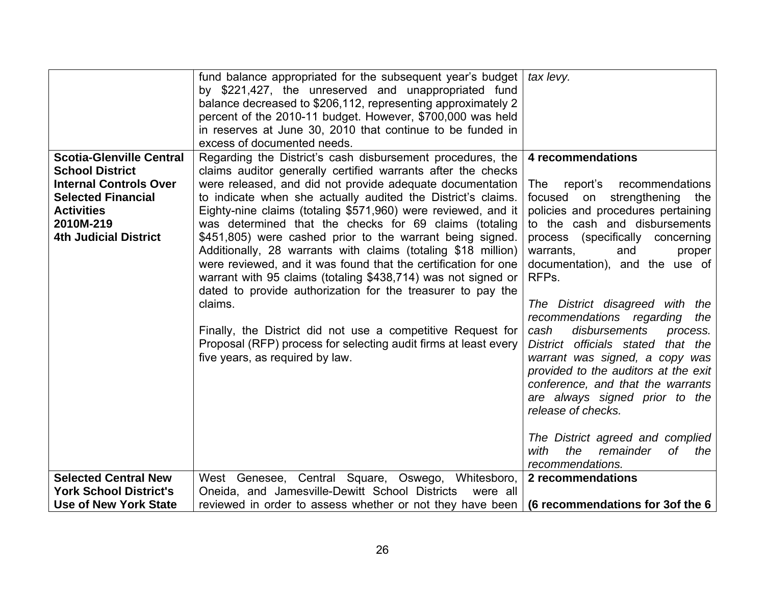|                                                                                                                                                                                           | fund balance appropriated for the subsequent year's budget<br>by \$221,427, the unreserved and unappropriated fund<br>balance decreased to \$206,112, representing approximately 2<br>percent of the 2010-11 budget. However, \$700,000 was held<br>in reserves at June 30, 2010 that continue to be funded in<br>excess of documented needs.                                                                                                                                                                                                                                                                                                                                                                                                                                                                                                                                                      | tax levy.                                                                                                                                                                                                                                                                                                                                                                                                                                                                                                                                                                                                                                                                                          |
|-------------------------------------------------------------------------------------------------------------------------------------------------------------------------------------------|----------------------------------------------------------------------------------------------------------------------------------------------------------------------------------------------------------------------------------------------------------------------------------------------------------------------------------------------------------------------------------------------------------------------------------------------------------------------------------------------------------------------------------------------------------------------------------------------------------------------------------------------------------------------------------------------------------------------------------------------------------------------------------------------------------------------------------------------------------------------------------------------------|----------------------------------------------------------------------------------------------------------------------------------------------------------------------------------------------------------------------------------------------------------------------------------------------------------------------------------------------------------------------------------------------------------------------------------------------------------------------------------------------------------------------------------------------------------------------------------------------------------------------------------------------------------------------------------------------------|
| <b>Scotia-Glenville Central</b><br><b>School District</b><br><b>Internal Controls Over</b><br><b>Selected Financial</b><br><b>Activities</b><br>2010M-219<br><b>4th Judicial District</b> | Regarding the District's cash disbursement procedures, the<br>claims auditor generally certified warrants after the checks<br>were released, and did not provide adequate documentation<br>to indicate when she actually audited the District's claims.<br>Eighty-nine claims (totaling \$571,960) were reviewed, and it<br>was determined that the checks for 69 claims (totaling<br>\$451,805) were cashed prior to the warrant being signed.<br>Additionally, 28 warrants with claims (totaling \$18 million)<br>were reviewed, and it was found that the certification for one<br>warrant with 95 claims (totaling \$438,714) was not signed or<br>dated to provide authorization for the treasurer to pay the<br>claims.<br>Finally, the District did not use a competitive Request for<br>Proposal (RFP) process for selecting audit firms at least every<br>five years, as required by law. | 4 recommendations<br>report's recommendations<br>The<br>focused on strengthening the<br>policies and procedures pertaining<br>to the cash and disbursements<br>process (specifically concerning<br>warrants,<br>and<br>proper<br>documentation), and the use of<br>RFPs.<br>The District disagreed with the<br>recommendations regarding<br>the<br>cash<br>disbursements<br>process.<br>District officials stated that the<br>warrant was signed, a copy was<br>provided to the auditors at the exit<br>conference, and that the warrants<br>are always signed prior to the<br>release of checks.<br>The District agreed and complied<br>the<br>with<br>remainder<br>оf<br>the<br>recommendations. |
| <b>Selected Central New</b><br><b>York School District's</b><br>Use of New York State                                                                                                     | West Genesee, Central Square, Oswego, Whitesboro,<br>Oneida, and Jamesville-Dewitt School Districts<br>were all<br>reviewed in order to assess whether or not they have been                                                                                                                                                                                                                                                                                                                                                                                                                                                                                                                                                                                                                                                                                                                       | 2 recommendations<br>(6 recommendations for 3of the 6                                                                                                                                                                                                                                                                                                                                                                                                                                                                                                                                                                                                                                              |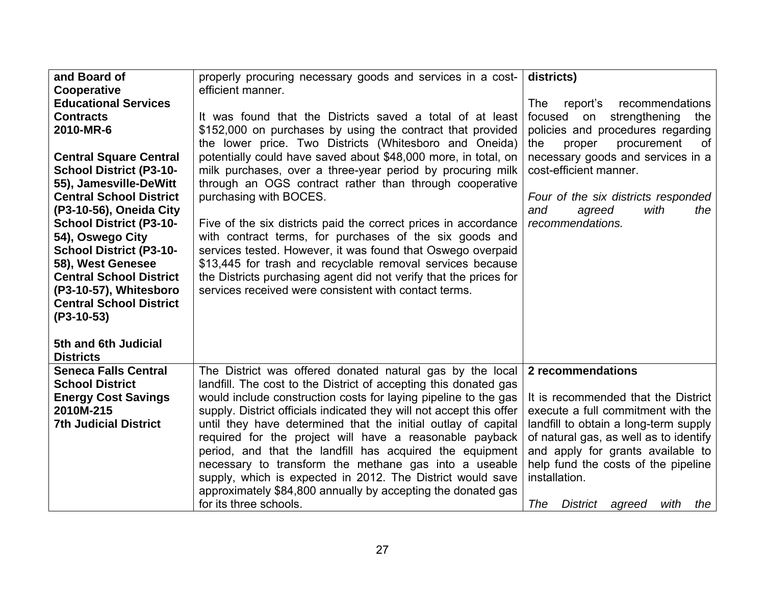| and Board of                   | properly procuring necessary goods and services in a cost-           | districts)                                      |
|--------------------------------|----------------------------------------------------------------------|-------------------------------------------------|
| Cooperative                    | efficient manner.                                                    |                                                 |
| <b>Educational Services</b>    |                                                                      | recommendations<br><b>The</b><br>report's       |
| <b>Contracts</b>               | It was found that the Districts saved a total of at least            | focused<br>strengthening<br>on<br>the           |
| 2010-MR-6                      | \$152,000 on purchases by using the contract that provided           | policies and procedures regarding               |
|                                | the lower price. Two Districts (Whitesboro and Oneida)               | the<br>proper<br>procurement<br>0f              |
| <b>Central Square Central</b>  | potentially could have saved about \$48,000 more, in total, on       | necessary goods and services in a               |
| <b>School District (P3-10-</b> | milk purchases, over a three-year period by procuring milk           | cost-efficient manner.                          |
| 55), Jamesville-DeWitt         | through an OGS contract rather than through cooperative              |                                                 |
| <b>Central School District</b> | purchasing with BOCES.                                               | Four of the six districts responded             |
| (P3-10-56), Oneida City        |                                                                      | with<br>agreed<br>the<br>and                    |
| <b>School District (P3-10-</b> | Five of the six districts paid the correct prices in accordance      | recommendations.                                |
| 54), Oswego City               | with contract terms, for purchases of the six goods and              |                                                 |
| <b>School District (P3-10-</b> | services tested. However, it was found that Oswego overpaid          |                                                 |
| 58), West Genesee              | \$13,445 for trash and recyclable removal services because           |                                                 |
| <b>Central School District</b> | the Districts purchasing agent did not verify that the prices for    |                                                 |
| (P3-10-57), Whitesboro         | services received were consistent with contact terms.                |                                                 |
| <b>Central School District</b> |                                                                      |                                                 |
| (P3-10-53)                     |                                                                      |                                                 |
|                                |                                                                      |                                                 |
| 5th and 6th Judicial           |                                                                      |                                                 |
| <b>Districts</b>               |                                                                      |                                                 |
| <b>Seneca Falls Central</b>    | The District was offered donated natural gas by the local            | 2 recommendations                               |
| <b>School District</b>         | landfill. The cost to the District of accepting this donated gas     |                                                 |
| <b>Energy Cost Savings</b>     | would include construction costs for laying pipeline to the gas      | It is recommended that the District             |
| 2010M-215                      | supply. District officials indicated they will not accept this offer | execute a full commitment with the              |
| <b>7th Judicial District</b>   | until they have determined that the initial outlay of capital        | landfill to obtain a long-term supply           |
|                                | required for the project will have a reasonable payback              | of natural gas, as well as to identify          |
|                                | period, and that the landfill has acquired the equipment             | and apply for grants available to               |
|                                | necessary to transform the methane gas into a useable                | help fund the costs of the pipeline             |
|                                | supply, which is expected in 2012. The District would save           | installation.                                   |
|                                | approximately \$84,800 annually by accepting the donated gas         |                                                 |
|                                | for its three schools.                                               | The<br><b>District</b><br>with<br>agreed<br>the |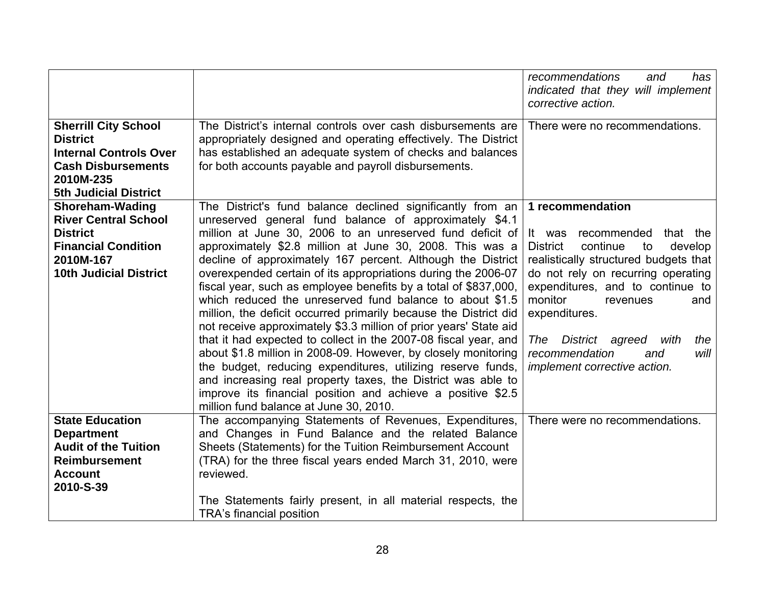|                                                                                                                                                           |                                                                                                                                                                                                                                                                                                                                                                                                                                                                                                                                                                                                                                                                                                                                                                                                                                                                                                                                                                                                                                    | recommendations<br>has<br>and<br>indicated that they will implement<br>corrective action.                                                                                                                                                                                                                                                                                      |
|-----------------------------------------------------------------------------------------------------------------------------------------------------------|------------------------------------------------------------------------------------------------------------------------------------------------------------------------------------------------------------------------------------------------------------------------------------------------------------------------------------------------------------------------------------------------------------------------------------------------------------------------------------------------------------------------------------------------------------------------------------------------------------------------------------------------------------------------------------------------------------------------------------------------------------------------------------------------------------------------------------------------------------------------------------------------------------------------------------------------------------------------------------------------------------------------------------|--------------------------------------------------------------------------------------------------------------------------------------------------------------------------------------------------------------------------------------------------------------------------------------------------------------------------------------------------------------------------------|
| <b>Sherrill City School</b><br><b>District</b><br><b>Internal Controls Over</b><br><b>Cash Disbursements</b><br>2010M-235<br><b>5th Judicial District</b> | The District's internal controls over cash disbursements are<br>appropriately designed and operating effectively. The District<br>has established an adequate system of checks and balances<br>for both accounts payable and payroll disbursements.                                                                                                                                                                                                                                                                                                                                                                                                                                                                                                                                                                                                                                                                                                                                                                                | There were no recommendations.                                                                                                                                                                                                                                                                                                                                                 |
| <b>Shoreham-Wading</b><br><b>River Central School</b><br><b>District</b><br><b>Financial Condition</b><br>2010M-167<br><b>10th Judicial District</b>      | The District's fund balance declined significantly from an<br>unreserved general fund balance of approximately \$4.1<br>million at June 30, 2006 to an unreserved fund deficit of<br>approximately \$2.8 million at June 30, 2008. This was a<br>decline of approximately 167 percent. Although the District<br>overexpended certain of its appropriations during the 2006-07<br>fiscal year, such as employee benefits by a total of \$837,000,<br>which reduced the unreserved fund balance to about \$1.5<br>million, the deficit occurred primarily because the District did<br>not receive approximately \$3.3 million of prior years' State aid<br>that it had expected to collect in the 2007-08 fiscal year, and<br>about \$1.8 million in 2008-09. However, by closely monitoring<br>the budget, reducing expenditures, utilizing reserve funds,<br>and increasing real property taxes, the District was able to<br>improve its financial position and achieve a positive \$2.5<br>million fund balance at June 30, 2010. | 1 recommendation<br>recommended<br>It was<br>that the<br><b>District</b><br>continue<br>develop<br>to<br>realistically structured budgets that<br>do not rely on recurring operating<br>expenditures, and to continue to<br>monitor<br>and<br>revenues<br>expenditures.<br>District agreed with<br>the<br>The<br>recommendation<br>will<br>and<br>implement corrective action. |
| <b>State Education</b><br><b>Department</b><br><b>Audit of the Tuition</b><br><b>Reimbursement</b><br><b>Account</b><br>2010-S-39                         | The accompanying Statements of Revenues, Expenditures,<br>and Changes in Fund Balance and the related Balance<br>Sheets (Statements) for the Tuition Reimbursement Account<br>(TRA) for the three fiscal years ended March 31, 2010, were<br>reviewed.<br>The Statements fairly present, in all material respects, the<br>TRA's financial position                                                                                                                                                                                                                                                                                                                                                                                                                                                                                                                                                                                                                                                                                 | There were no recommendations.                                                                                                                                                                                                                                                                                                                                                 |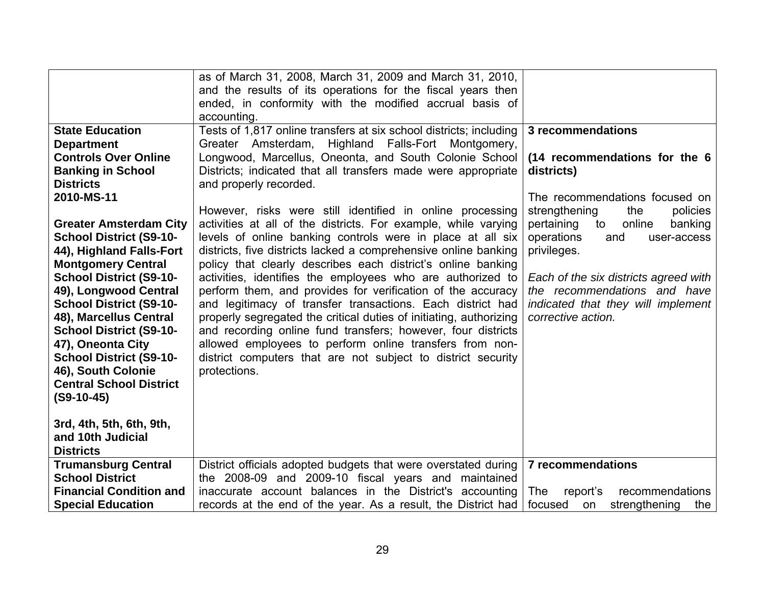|                                | as of March 31, 2008, March 31, 2009 and March 31, 2010,               |                                       |
|--------------------------------|------------------------------------------------------------------------|---------------------------------------|
|                                | and the results of its operations for the fiscal years then            |                                       |
|                                | ended, in conformity with the modified accrual basis of<br>accounting. |                                       |
| <b>State Education</b>         | Tests of 1,817 online transfers at six school districts; including     | 3 recommendations                     |
| <b>Department</b>              | Greater Amsterdam, Highland Falls-Fort Montgomery,                     |                                       |
| <b>Controls Over Online</b>    | Longwood, Marcellus, Oneonta, and South Colonie School                 | (14 recommendations for the 6         |
| <b>Banking in School</b>       | Districts; indicated that all transfers made were appropriate          | districts)                            |
| <b>Districts</b>               | and properly recorded.                                                 |                                       |
| 2010-MS-11                     |                                                                        | The recommendations focused on        |
|                                | However, risks were still identified in online processing              | strengthening<br>policies<br>the      |
| <b>Greater Amsterdam City</b>  | activities at all of the districts. For example, while varying         | online<br>pertaining<br>to<br>banking |
| <b>School District (S9-10-</b> | levels of online banking controls were in place at all six             | operations<br>and<br>user-access      |
| 44), Highland Falls-Fort       | districts, five districts lacked a comprehensive online banking        | privileges.                           |
| <b>Montgomery Central</b>      | policy that clearly describes each district's online banking           |                                       |
| <b>School District (S9-10-</b> | activities, identifies the employees who are authorized to             | Each of the six districts agreed with |
| 49), Longwood Central          | perform them, and provides for verification of the accuracy            | the recommendations and have          |
| <b>School District (S9-10-</b> | and legitimacy of transfer transactions. Each district had             | indicated that they will implement    |
| 48), Marcellus Central         | properly segregated the critical duties of initiating, authorizing     | corrective action.                    |
| <b>School District (S9-10-</b> | and recording online fund transfers; however, four districts           |                                       |
| 47), Oneonta City              | allowed employees to perform online transfers from non-                |                                       |
| <b>School District (S9-10-</b> | district computers that are not subject to district security           |                                       |
| 46), South Colonie             | protections.                                                           |                                       |
| <b>Central School District</b> |                                                                        |                                       |
| $(S9-10-45)$                   |                                                                        |                                       |
| 3rd, 4th, 5th, 6th, 9th,       |                                                                        |                                       |
| and 10th Judicial              |                                                                        |                                       |
| <b>Districts</b>               |                                                                        |                                       |
| <b>Trumansburg Central</b>     | District officials adopted budgets that were overstated during         | <b>7 recommendations</b>              |
| <b>School District</b>         | the 2008-09 and 2009-10 fiscal years and maintained                    |                                       |
| <b>Financial Condition and</b> | inaccurate account balances in the District's accounting               | The<br>report's<br>recommendations    |
| <b>Special Education</b>       | records at the end of the year. As a result, the District had          | strengthening<br>focused<br>the<br>on |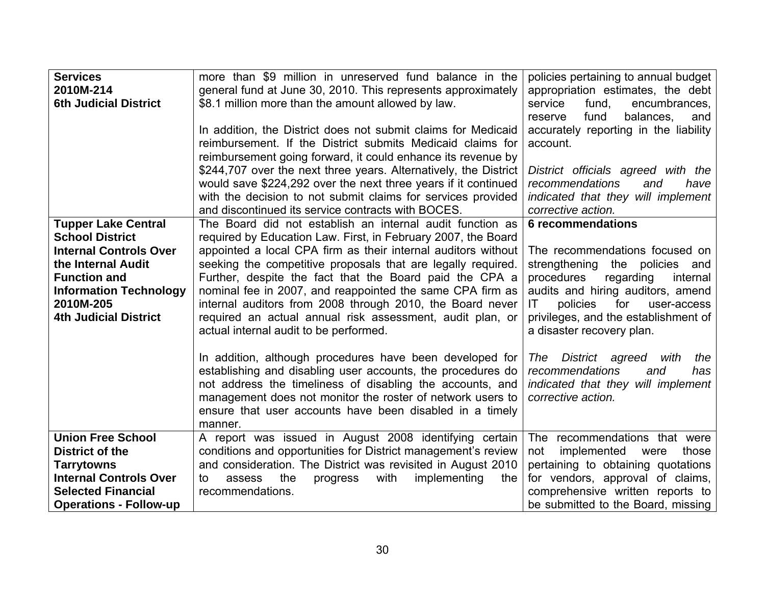| <b>Services</b>               | more than \$9 million in unreserved fund balance in the          | policies pertaining to annual budget  |
|-------------------------------|------------------------------------------------------------------|---------------------------------------|
| 2010M-214                     | general fund at June 30, 2010. This represents approximately     | appropriation estimates, the debt     |
| <b>6th Judicial District</b>  | \$8.1 million more than the amount allowed by law.               | service<br>fund,<br>encumbrances,     |
|                               |                                                                  | balances.<br>fund<br>reserve<br>and   |
|                               | In addition, the District does not submit claims for Medicaid    | accurately reporting in the liability |
|                               | reimbursement. If the District submits Medicaid claims for       | account.                              |
|                               | reimbursement going forward, it could enhance its revenue by     |                                       |
|                               | \$244,707 over the next three years. Alternatively, the District | District officials agreed with the    |
|                               | would save \$224,292 over the next three years if it continued   | recommendations<br>and<br>have        |
|                               | with the decision to not submit claims for services provided     | indicated that they will implement    |
|                               | and discontinued its service contracts with BOCES.               | corrective action.                    |
| <b>Tupper Lake Central</b>    | The Board did not establish an internal audit function as        | <b>6 recommendations</b>              |
| <b>School District</b>        | required by Education Law. First, in February 2007, the Board    |                                       |
| <b>Internal Controls Over</b> | appointed a local CPA firm as their internal auditors without    | The recommendations focused on        |
| the Internal Audit            | seeking the competitive proposals that are legally required.     | strengthening the policies and        |
| <b>Function and</b>           | Further, despite the fact that the Board paid the CPA a          | procedures<br>regarding<br>internal   |
| <b>Information Technology</b> | nominal fee in 2007, and reappointed the same CPA firm as        | audits and hiring auditors, amend     |
| 2010M-205                     | internal auditors from 2008 through 2010, the Board never        | policies<br>for<br>IT.<br>user-access |
| <b>4th Judicial District</b>  | required an actual annual risk assessment, audit plan, or        | privileges, and the establishment of  |
|                               | actual internal audit to be performed.                           | a disaster recovery plan.             |
|                               |                                                                  |                                       |
|                               | In addition, although procedures have been developed for         | The District agreed with<br>the       |
|                               | establishing and disabling user accounts, the procedures do      | recommendations<br>and<br>has         |
|                               | not address the timeliness of disabling the accounts, and        | indicated that they will implement    |
|                               | management does not monitor the roster of network users to       | corrective action.                    |
|                               | ensure that user accounts have been disabled in a timely         |                                       |
|                               | manner.                                                          |                                       |
| <b>Union Free School</b>      | A report was issued in August 2008 identifying certain           | The recommendations that were         |
| District of the               | conditions and opportunities for District management's review    | not<br>implemented<br>those<br>were   |
| <b>Tarrytowns</b>             | and consideration. The District was revisited in August 2010     | pertaining to obtaining quotations    |
| <b>Internal Controls Over</b> | the<br>with<br>implementing<br>the<br>assess<br>progress<br>to   | for vendors, approval of claims,      |
| <b>Selected Financial</b>     | recommendations.                                                 | comprehensive written reports to      |
| <b>Operations - Follow-up</b> |                                                                  | be submitted to the Board, missing    |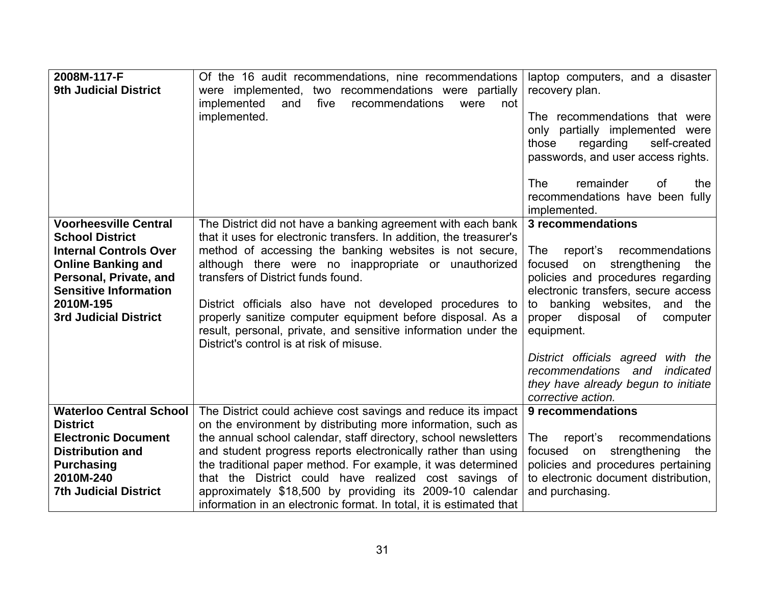| 2008M-117-F<br><b>9th Judicial District</b>                                                                                                                                                                                 | Of the 16 audit recommendations, nine recommendations<br>were implemented, two recommendations were partially<br>implemented<br>five<br>and<br>recommendations<br>were<br>not<br>implemented.                                                                                                                                                                                                                                                                                                                                        | laptop computers, and a disaster<br>recovery plan.<br>The recommendations that were<br>only partially implemented were<br>self-created<br>those<br>regarding<br>passwords, and user access rights.<br>remainder<br><b>The</b><br>0f<br>the<br>recommendations have been fully<br>implemented.                                                                                                                          |
|-----------------------------------------------------------------------------------------------------------------------------------------------------------------------------------------------------------------------------|--------------------------------------------------------------------------------------------------------------------------------------------------------------------------------------------------------------------------------------------------------------------------------------------------------------------------------------------------------------------------------------------------------------------------------------------------------------------------------------------------------------------------------------|------------------------------------------------------------------------------------------------------------------------------------------------------------------------------------------------------------------------------------------------------------------------------------------------------------------------------------------------------------------------------------------------------------------------|
| <b>Voorheesville Central</b><br><b>School District</b><br><b>Internal Controls Over</b><br><b>Online Banking and</b><br>Personal, Private, and<br><b>Sensitive Information</b><br>2010M-195<br><b>3rd Judicial District</b> | The District did not have a banking agreement with each bank<br>that it uses for electronic transfers. In addition, the treasurer's<br>method of accessing the banking websites is not secure,<br>although there were no inappropriate or unauthorized<br>transfers of District funds found.<br>District officials also have not developed procedures to<br>properly sanitize computer equipment before disposal. As a<br>result, personal, private, and sensitive information under the<br>District's control is at risk of misuse. | 3 recommendations<br>recommendations<br><b>The</b><br>report's<br>focused<br>strengthening<br>on<br>the<br>policies and procedures regarding<br>electronic transfers, secure access<br>banking websites,<br>and the<br>to<br>disposal<br>proper<br>of<br>computer<br>equipment.<br>District officials agreed with the<br>recommendations and<br>indicated<br>they have already begun to initiate<br>corrective action. |
| <b>Waterloo Central School</b><br><b>District</b><br><b>Electronic Document</b><br><b>Distribution and</b><br><b>Purchasing</b><br>2010M-240<br><b>7th Judicial District</b>                                                | The District could achieve cost savings and reduce its impact<br>on the environment by distributing more information, such as<br>the annual school calendar, staff directory, school newsletters<br>and student progress reports electronically rather than using<br>the traditional paper method. For example, it was determined<br>that the District could have realized cost savings of<br>approximately \$18,500 by providing its 2009-10 calendar<br>information in an electronic format. In total, it is estimated that        | 9 recommendations<br>report's<br>recommendations<br>The<br>focused<br>strengthening<br>on<br>the<br>policies and procedures pertaining<br>to electronic document distribution,<br>and purchasing.                                                                                                                                                                                                                      |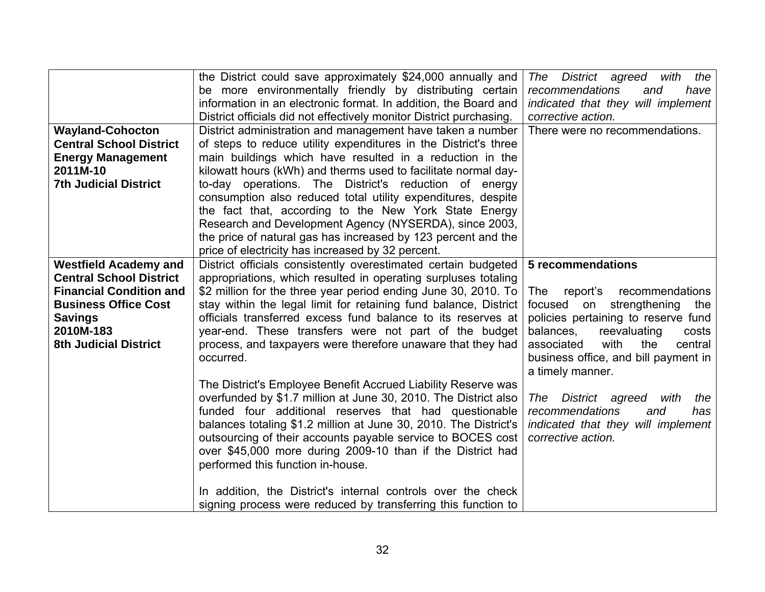|                                | the District could save approximately \$24,000 annually and         | The District agreed<br>with<br>the     |
|--------------------------------|---------------------------------------------------------------------|----------------------------------------|
|                                | be more environmentally friendly by distributing certain            | recommendations<br>and<br>have         |
|                                | information in an electronic format. In addition, the Board and     | indicated that they will implement     |
|                                | District officials did not effectively monitor District purchasing. | corrective action.                     |
| <b>Wayland-Cohocton</b>        | District administration and management have taken a number          | There were no recommendations.         |
| <b>Central School District</b> | of steps to reduce utility expenditures in the District's three     |                                        |
| <b>Energy Management</b>       | main buildings which have resulted in a reduction in the            |                                        |
| 2011M-10                       | kilowatt hours (kWh) and therms used to facilitate normal day-      |                                        |
| <b>7th Judicial District</b>   | to-day operations. The District's reduction of energy               |                                        |
|                                | consumption also reduced total utility expenditures, despite        |                                        |
|                                | the fact that, according to the New York State Energy               |                                        |
|                                | Research and Development Agency (NYSERDA), since 2003,              |                                        |
|                                | the price of natural gas has increased by 123 percent and the       |                                        |
|                                | price of electricity has increased by 32 percent.                   |                                        |
| <b>Westfield Academy and</b>   | District officials consistently overestimated certain budgeted      | <b>5 recommendations</b>               |
| <b>Central School District</b> | appropriations, which resulted in operating surpluses totaling      |                                        |
| <b>Financial Condition and</b> | \$2 million for the three year period ending June 30, 2010. To      | <b>The</b><br>report's recommendations |
| <b>Business Office Cost</b>    | stay within the legal limit for retaining fund balance, District    | focused on strengthening the           |
| <b>Savings</b>                 | officials transferred excess fund balance to its reserves at        | policies pertaining to reserve fund    |
| 2010M-183                      | year-end. These transfers were not part of the budget               | balances,<br>reevaluating<br>costs     |
| <b>8th Judicial District</b>   | process, and taxpayers were therefore unaware that they had         | with<br>associated<br>the<br>central   |
|                                | occurred.                                                           | business office, and bill payment in   |
|                                |                                                                     | a timely manner.                       |
|                                | The District's Employee Benefit Accrued Liability Reserve was       |                                        |
|                                | overfunded by \$1.7 million at June 30, 2010. The District also     | District agreed<br>The<br>with<br>the  |
|                                | funded four additional reserves that had questionable               | recommendations<br>and<br>has          |
|                                | balances totaling \$1.2 million at June 30, 2010. The District's    | indicated that they will implement     |
|                                | outsourcing of their accounts payable service to BOCES cost         | corrective action.                     |
|                                | over \$45,000 more during 2009-10 than if the District had          |                                        |
|                                | performed this function in-house.                                   |                                        |
|                                |                                                                     |                                        |
|                                | In addition, the District's internal controls over the check        |                                        |
|                                | signing process were reduced by transferring this function to       |                                        |